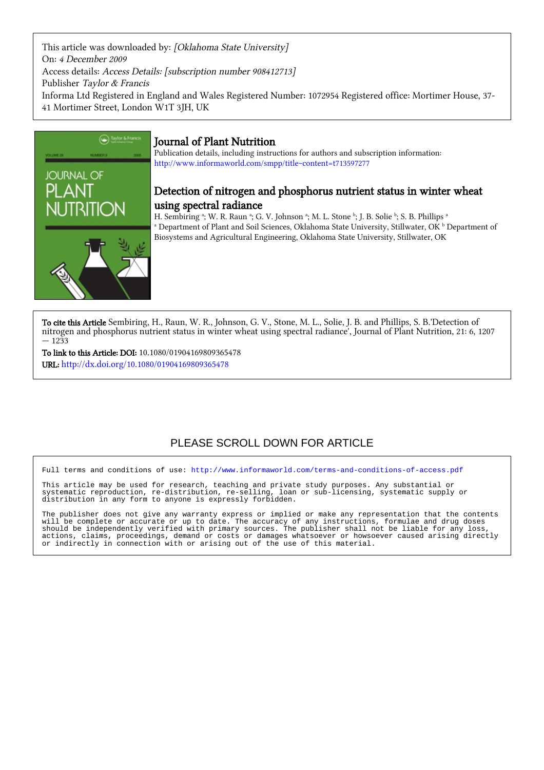This article was downloaded by: [Oklahoma State University] On: 4 December 2009 Access details: Access Details: [subscription number 908412713] Publisher Taylor & Francis Informa Ltd Registered in England and Wales Registered Number: 1072954 Registered office: Mortimer House, 37- 41 Mortimer Street, London W1T 3JH, UK



# Journal of Plant Nutrition

Publication details, including instructions for authors and subscription information: <http://www.informaworld.com/smpp/title~content=t713597277>

# Detection of nitrogen and phosphorus nutrient status in winter wheat using spectral radiance

H. Sembiring ª; W. R. Raun ª; G. V. Johnson ª; M. L. Stone ʰ; J. B. Solie ʰ; S. B. Phillips ª  $^{\rm a}$  Department of Plant and Soil Sciences, Oklahoma State University, Stillwater, OK  $^{\rm b}$  Department of Biosystems and Agricultural Engineering, Oklahoma State University, Stillwater, OK

To cite this Article Sembiring, H., Raun, W. R., Johnson, G. V., Stone, M. L., Solie, J. B. and Phillips, S. B.'Detection of nitrogen and phosphorus nutrient status in winter wheat using spectral radiance', Journal of Plant Nutrition, 21: 6, 1207 — 1233

To link to this Article: DOI: 10.1080/01904169809365478 URL: <http://dx.doi.org/10.1080/01904169809365478>

# PLEASE SCROLL DOWN FOR ARTICLE

Full terms and conditions of use:<http://www.informaworld.com/terms-and-conditions-of-access.pdf>

This article may be used for research, teaching and private study purposes. Any substantial or systematic reproduction, re-distribution, re-selling, loan or sub-licensing, systematic supply or distribution in any form to anyone is expressly forbidden.

The publisher does not give any warranty express or implied or make any representation that the contents will be complete or accurate or up to date. The accuracy of any instructions, formulae and drug doses should be independently verified with primary sources. The publisher shall not be liable for any loss, actions, claims, proceedings, demand or costs or damages whatsoever or howsoever caused arising directly or indirectly in connection with or arising out of the use of this material.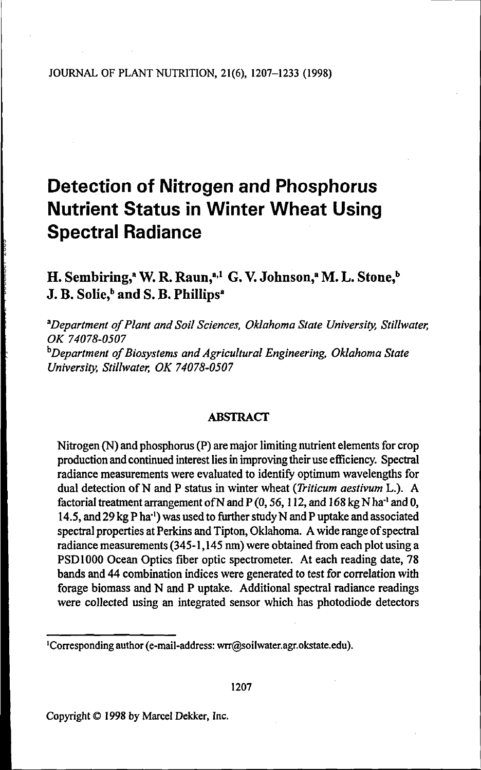# **Detection of Nitrogen and Phosphorus Nutrient Status in Winter Wheat Using Spectral Radiance**

H. Sembiring,<sup>a</sup> W. R. Raun,<sup>a,1</sup> G. V. Johnson,<sup>a</sup> M. L. Stone,<sup>t</sup> J. B. Solie,<sup>b</sup> and S. B. Phillips<sup>a</sup>

<sup>a</sup>*Department of Plant and Soil Sciences, Oklahoma State University, Stillwater, OK 74078-0507* <sup>b</sup>*Department of Biosystems and Agricultural Engineering, Oklahoma State University, Stillwater, OK 74078-0507*

# ABSTRACT

Nitrogen (N) and phosphorus (P) are major limiting nutrient elements for crop production and continued interest lies in improving their use efficiency. Spectral radiance measurements were evaluated to identify optimum wavelengths for dual detection of N and P status in winter wheat (*Triticum aestivum* L.). A factorial treatment arrangement of N and P (0, 56, 112, and 168 kg N ha<sup>-1</sup> and 0, 14.5, and 29 kg P ha-1) was used to further study N and P uptake and associated spectral properties at Perkins and Tipton, Oklahoma. A wide range of spectral radiance measurements (345-1, 145 nm) were obtained from each plot using a PSD 1000 Ocean Optics fiber optic spectrometer. At each reading date, 78 bands and 44 combination indices were generated to test for correlation with forage biomass and N and P uptake. Additional spectral radiance readings were collected using an integrated sensor which has photodiode detectors

Copyright © 1998 by Marcel Dekker, Inc.

<sup>1</sup>Corresponding author (e-mail-address: wrr@soilwater.agr.okstate.edu).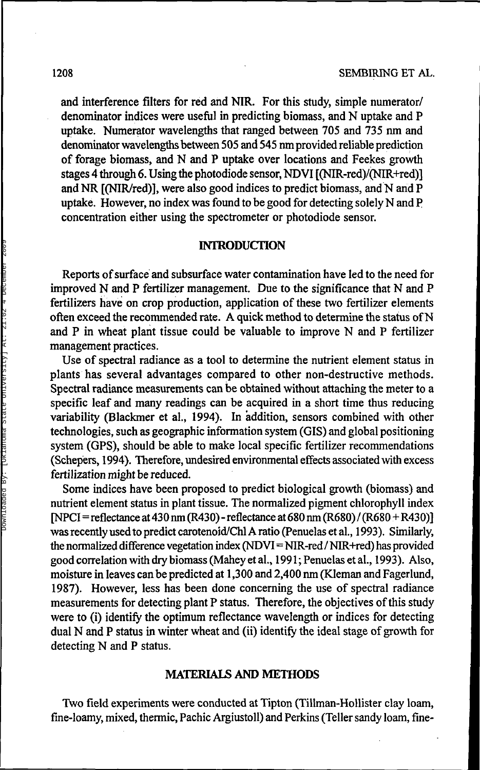and interference filters for red and NIR. For this study, simple numerator/ denominator indices were useful in predicting biomass, and N uptake and P uptake. Numerator wavelengths that ranged between 705 and 735 nm and denominator wavelengths between 505 and 545 nm provided reliable prediction of forage biomass, and N and P uptake over locations and Feekes growth stages 4 through 6. Using the photodiode sensor, NDVI [(NIR-red)/(NIR+red)] and NR [(NIR/red)], were also good indices to predict biomass, and N and P uptake. However, no index was found to be good for detecting solely N and P concentration either using the spectrometer or photodiode sensor.

# **INTRODUCTION**

Reports of surface and subsurface water contamination have led to the need for improved N and P fertilizer management. Due to the significance that N and P fertilizers have on crop production, application of these two fertilizer elements often exceed the recommended rate. A quick method to determine the status of N and P in wheat plant tissue could be valuable to improve N and P fertilizer management practices.

Use of spectral radiance as a tool to determine the nutrient element status in plants has several advantages compared to other non-destructive methods. Spectral radiance measurements can be obtained without attaching the meter to a specific leaf and many readings can be acquired in a short time thus reducing variability (Blackmer et al., 1994). In addition, sensors combined with other technologies, such as geographic information system (GIS) and global positioning system (GPS), should be able to make local specific fertilizer recommendations (Schepers, 1994). Therefore, undesired environmental effects associated with excess fertilization might be reduced.

Some indices have been proposed to predict biological growth (biomass) and nutrient element status in plant tissue. The normalized pigment chlorophyll index  $[NPCI=reflectance at 430 nm (R430) - reflectance at 680 nm (R680) / (R680 + R430)]$ was recently used to predict carotenoid/Chl A ratio (Penuelas et al., 1993). Similarly, the normalized difference vegetation index (NDVI=NIR-red / NIR+red) has provided good correlation with dry biomass (Maheyetal., 1991; Penuelas etal., 1993). Also, moisture in leaves can be predicted at 1,3 00 and 2,400 nm (Kleman and Fagerlund, 1987). However, less has been done concerning the use of spectral radiance measurements for detecting plant P status. Therefore, the objectives of this study were to (i) identify the optimum reflectance wavelength or indices for detecting dual N and P status in winter wheat and (ii) identify the ideal stage of growth for detecting N and P status.

#### **MATERIALS AND METHODS**

Two field experiments were conducted at Tipton (Tillman-Hollister clay loam, fine-loamy, mixed, thermic, Pachic Argiustoll) and Perkins (Teller sandy loam, fine-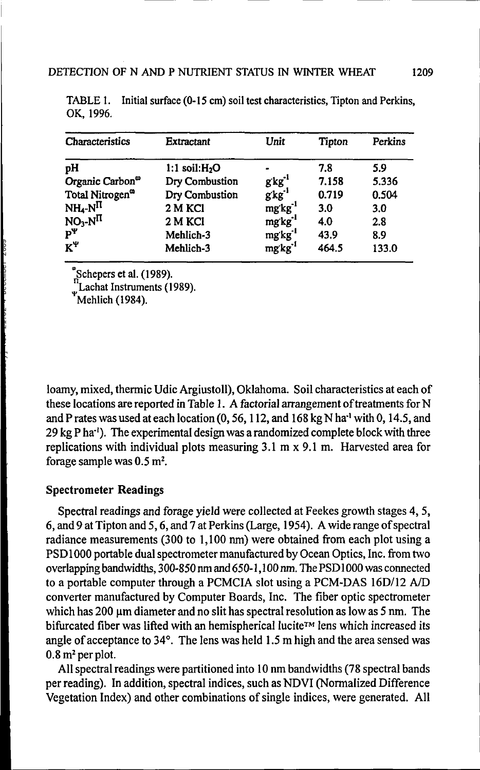| Characteristics                      | <b>Extractant</b> | Unit                 | Tipton | Perkins |
|--------------------------------------|-------------------|----------------------|--------|---------|
| рH                                   | 1:1 soil: $H2O$   |                      | 7.8    | 5.9     |
| Organic Carbon <sup>oo</sup>         | Dry Combustion    | $g$ kg <sup>-1</sup> | 7.158  | 5.336   |
| Total Nitrogen <sup>®</sup>          | Dry Combustion    | gkg'                 | 0.719  | 0.504   |
| $NH_4-N$ <sup>II</sup>               | 2 M KCI           | mgkg <sup>-1</sup>   | 3.0    | 3.0     |
| $NO_3-N$ <sup>II</sup><br>$P^{\Psi}$ | 2 M KCI           | mgkg <sup>-1</sup>   | 4.0    | 2.8     |
|                                      | Mehlich-3         | mg'kg <sup>-1</sup>  | 43.9   | 8.9     |
| $K^{\Psi}$                           | Mehlich-3         | mg'kg <sup>-1</sup>  | 464.5  | 133.0   |

TABLE 1. Initial surface (0-15 cm) soil test characteristics, Tipton and Perkins, OK, 1996.

Schepers et al. (1989).

Lachat Instruments (1989).

Mehlich (1984).

loamy, mixed, thermic Udic Argiustoll), Oklahoma. Soil characteristics at each of these locations are reported in Table 1. A factorial arrangement of treatments for N and P rates was used at each location  $(0, 56, 112,$  and  $168 \text{ kg N}$  ha<sup>1</sup> with 0, 14.5, and 29 kg P ha<sup>-1</sup>). The experimental design was a randomized complete block with three replications with individual plots measuring 3.1 m x 9.1 m. Harvested area for forage sample was  $0.5 \text{ m}^2$ .

# **Spectrometer Readings**

Spectral readings and forage yield were collected at Feekes growth stages 4, 5, 6, and 9 at Tipton and 5,6, and 7 at Perkins (Large, 1954). A wide range of spectral radiance measurements (300 to 1,100 nm) were obtained from each plot using a PSD1000 portable dual spectrometer manufactured by Ocean Optics, Inc. from two overlapping bandwidths, 300-850 nm and 650-1,100 nm. The PSD 1000 was connected to a portable computer through a PCMCIA slot using a PCM-DAS 16D/12 A/D converter manufactured by Computer Boards, Inc. The fiber optic spectrometer which has  $200 \mu m$  diameter and no slit has spectral resolution as low as 5 nm. The bifurcated fiber was lifted with an hemispherical lucite™ lens which increased its angle of acceptance to 34°. The lens was held 1.5 m high and the area sensed was  $0.8 \,\mathrm{m}^2$  per plot.

All spectral readings were partitioned into 10 nm bandwidths (78 spectral bands per reading). In addition, spectral indices, such as NDVI (Normalized Difference Vegetation Index) and other combinations of single indices, were generated. All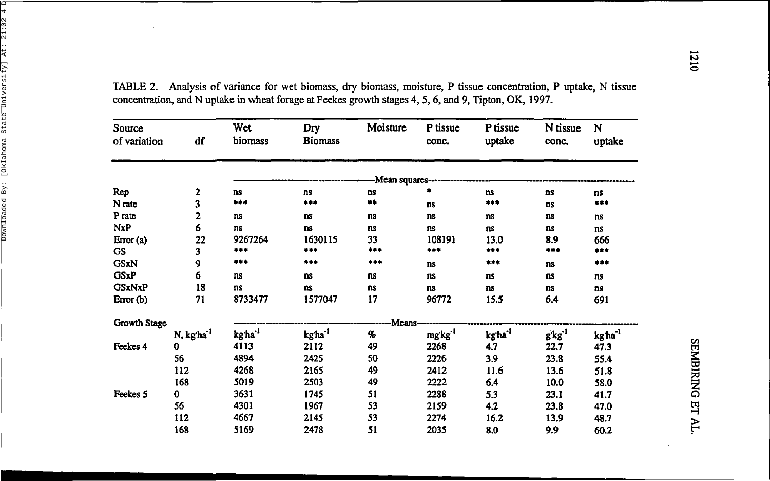| Source<br>of variation | df                    | Wet<br>biomass      | Dry<br><b>Biomass</b> | Moisture           | P tissue<br>conc.   | P tissue<br>uptake | N tissue<br>conc.  | N<br>uptake        |
|------------------------|-----------------------|---------------------|-----------------------|--------------------|---------------------|--------------------|--------------------|--------------------|
|                        |                       |                     |                       |                    |                     |                    |                    |                    |
|                        |                       |                     |                       | --Mean squares---- |                     |                    |                    |                    |
| Rep                    | 2                     | ns                  | <b>ns</b>             | ns                 |                     | ns                 | ns                 | ns                 |
| N rate                 | 3                     | ***                 | ***                   | $***$              | <b>ns</b>           | $***$              | ns                 | ***                |
| P rate                 | 2                     | <b>ns</b>           | <b>ns</b>             | ns.                | ns                  | ns                 | ns                 | ns                 |
| <b>NxP</b>             | 6                     | ns                  | <b>ns</b>             | ns                 | ns                  | ns.                | ns                 | ns                 |
| Error(a)               | 22                    | 9267264             | 1630115               | 33                 | 108191              | 13.0               | 8.9                | 666                |
| <b>GS</b>              | 3                     | ***                 | ***                   | ***                | ***                 | ***                | ***                | ***                |
| <b>GSxN</b>            | 9                     | ***                 | $***$                 | ***                | <b>ns</b>           | ***                | ns                 | ***                |
| <b>GSxP</b>            | 6                     | ns                  | ns                    | ns                 | ns                  | ns                 | ns                 | ns                 |
| <b>GSxNxP</b>          | 18                    | ns                  | ns                    | ns                 | ns                  | ns                 | ns                 | ns                 |
| Error $(b)$            | 71                    | 8733477             | 1577047               | 17                 | 96772               | 15.5               | 6.4                | 691                |
| Growth Stage           |                       |                     |                       | -Means-            |                     |                    |                    |                    |
|                        | N, kgha <sup>-1</sup> | kg ha <sup>-1</sup> | kg'ha <sup>-1</sup>   | $\boldsymbol{\%}$  | mg'kg <sup>-1</sup> | kgha <sup>-1</sup> | g kg <sup>-1</sup> | kgha <sup>-1</sup> |
| Feekes 4               | 0                     | 4113                | 2112                  | 49                 | 2268                | 4.7                | 22.7               | 47.3               |
|                        | 56                    | 4894                | 2425                  | 50                 | 2226                | 3.9                | 23.8               | 55.4               |
|                        | 112                   | 4268                | 2165                  | 49                 | 2412                | 11.6               | 13.6               | 51.8               |
|                        | 168                   | 5019                | 2503                  | 49                 | 2222                | 6.4                | 10.0               | 58.0               |
| Feekes 5               | 0                     | 3631                | 1745                  | 51                 | 2288                | 5.3                | 23.1               | 41.7               |
|                        | 56                    | 4301                | 1967                  | 53                 | 2159                | 4.2                | 23.8               | 47.0               |
|                        | 112                   | 4667                | 2145                  | 53                 | 2274                | 16.2               | 13.9               | 48.7               |
|                        | 168                   | 5169                | 2478                  | 51                 | 2035                | 8.0                | 9.9                | 60.2               |

TABLE 2. Analysis of variance for wet biomass, dry biomass, moisture, P tissue concentration, P uptake, N tissue concentration, and N uptake in wheat forage at Feekes growth stages 4, 5, 6, and 9, Tipton, OK, 1997.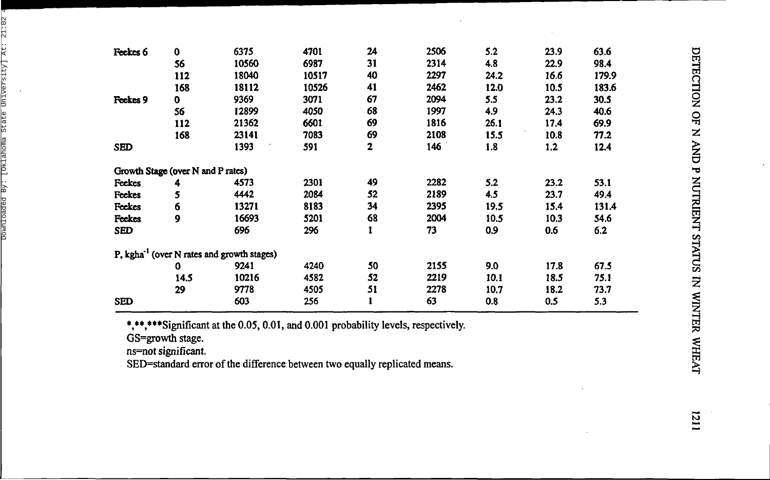| Feekes 6   | $\mathbf 0$                                            | 6375  | 4701  | 24 | 2506 | 5.2  | 23.9 | 63.6  |
|------------|--------------------------------------------------------|-------|-------|----|------|------|------|-------|
|            | 56                                                     | 10560 | 6987  | 31 | 2314 | 4.8  | 22.9 | 98.4  |
|            | 112                                                    | 18040 | 10517 | 40 | 2297 | 24.2 | 16.6 | 179.9 |
|            | 168                                                    | 18112 | 10526 | 41 | 2462 | 12.0 | 10.5 | 183.6 |
| Feekes 9   | 0                                                      | 9369  | 3071  | 67 | 2094 | 5.5  | 23.2 | 30.5  |
|            | 56                                                     | 12899 | 4050  | 68 | 1997 | 4.9  | 24.3 | 40.6  |
|            | 112                                                    | 21362 | 6601  | 69 | 1816 | 26.1 | 17.4 | 69.9  |
|            | 168                                                    | 23141 | 7083  | 69 | 2108 | 15.5 | 10.8 | 77.2  |
| <b>SED</b> |                                                        | 1393  | 591   | 2  | 146  | 1.8  | 1,2  | 12.4  |
|            | Growth Stage (over N and P rates)                      |       |       |    |      |      |      |       |
| Feekes     | 4                                                      | 4573  | 2301  | 49 | 2282 | 5.2  | 23.2 | 53.1  |
| Feekes     | 5                                                      | 4442  | 2084  | 52 | 2189 | 4.5  | 23.7 | 49.4  |
| Feekes     | 6                                                      | 13271 | 8183  | 34 | 2395 | 19.5 | 15.4 | 131.4 |
| Feekes     | 9                                                      | 16693 | 5201  | 68 | 2004 | 10.5 | 10.3 | 54.6  |
| <b>SED</b> |                                                        | 696   | 296   |    | 73   | 0.9  | 0.6  | 6.2   |
|            | P, kgha <sup>-1</sup> (over N rates and growth stages) |       |       |    |      |      |      |       |
|            | 0                                                      | 9241  | 4240  | 50 | 2155 | 9.0  | 17.8 | 67.5  |
|            | 14.5                                                   | 10216 | 4582  | 52 | 2219 | 10.1 | 18.5 | 75.1  |
|            | 29                                                     | 9778  | 4505  | 51 | 2278 | 10.7 | 18.2 | 73.7  |
| <b>SED</b> |                                                        | 603   | 256   |    | 63   | 0.8  | 0.5  | 5.3   |

\*,\*\*,\*\*\*Significant at the 0.05, 0.01, and 0.001 probability levels, respectively.

GS=growt h stage .

ns=no t significant .

SED=standar d erro r o f th e differenc e betwee n tw o equall y replicate d means .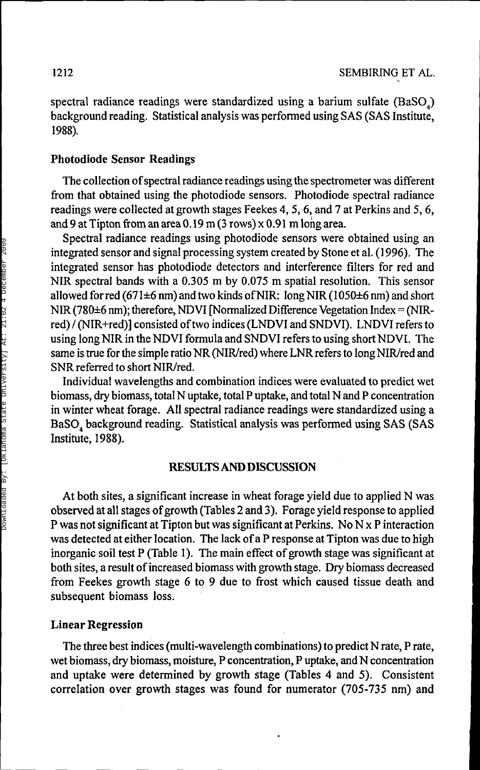spectral radiance readings were standardized using a barium sulfate (BaSO<sub>4</sub>) background reading. Statistical analysis was performed using SAS (SAS Institute, 1988).

#### **Photodiode Sensor Readings**

The collection of spectral radiance readings using the spectrometer was different from that obtained using the photodiode sensors. Photodiode spectral radiance readings were collected at growth stages Feekes 4, 5, 6, and 7 at Perkins and 5, 6, and 9 at Tipton from an area 0.19 m (3 rows) x 0.91 m long area.

Spectral radiance readings using photodiode sensors were obtained using an integrated sensor and signal processing system created by Stone et al. (1996). The integrated sensor has photodiode detectors and interference filters for red and NIR spectral bands with a 0.305 m by 0.075 m spatial resolution. This sensor allowed for red (671 $\pm$ 6 nm) and two kinds of NIR: long NIR (1050 $\pm$ 6 nm) and short NIR (780±6 nm); therefore, NDVI [Normalized Difference Vegetation Index = (NIRred) / (NIR+red)] consisted of two indices (LNDVI and SNDVI). LNDVI refers to using long NIR in the NDVI formula and SNDVI refers to using short NDVI. The same is true for the simple ratio NR (NIR/red) where LNR refers to long NIR/red and SNR referred to short NIR/red.

Individual wavelengths and combination indices were evaluated to predict wet biomass, dry biomass, total N uptake, total P uptake, and total N and P concentration in winter wheat forage. All spectral radiance readings were standardized using a BaSO, background reading. Statistical analysis was performed using SAS (SAS Institute, 1988).

#### **RESULTSANDDISCUSSION**

At both sites, a significant increase in wheat forage yield due to applied N was observed at all stages of growth (Tables 2 and 3). Forage yield response to applied P was not significant at Tipton but was significant at Perkins. No  $N \times P$  interaction was detected at either location. The lack of a P response at Tipton was due to high inorganic soil test P (Table 1). The main effect of growth stage was significant at both sites, a result of increased biomass with growth stage. Dry biomass decreased from Feekes growth stage 6 to 9 due to frost which caused tissue death and subsequent biomass loss.

#### **Linear Regression**

The three best indices (multi-wavelength combinations) to predict N rate, P rate, wet biomass, dry biomass, moisture, P concentration, P uptake, and N concentration and uptake were determined by growth stage (Tables 4 and 5). Consistent correlation over growth stages was found for numerator (705-735 nm) and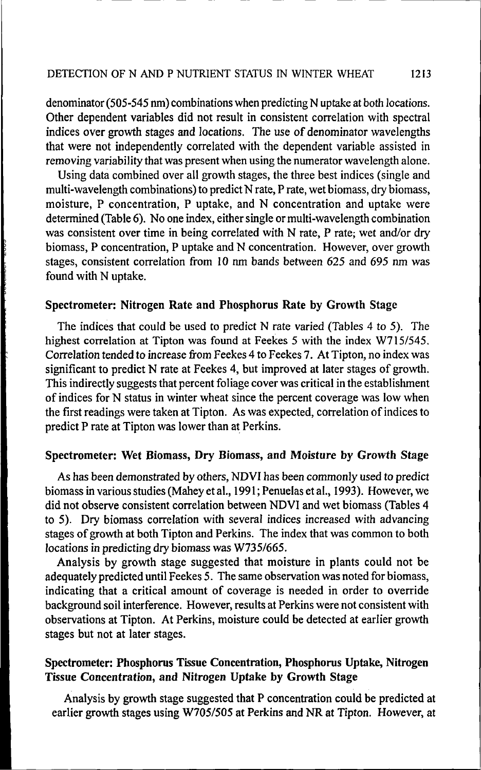denominator (505-545 nm) combinations when predicting N uptake at both locations. Other dependent variables did not result in consistent correlation with spectral indices over growth stages and locations. The use of denominator wavelengths that were not independently correlated with the dependent variable assisted in removing variability that was present when using the numerator wavelength alone.

Using data combined over all growth stages, the three best indices (single and multi-wavelength combinations) to predict N rate, P rate, wet biomass, dry biomass, moisture, P concentration, P uptake, and N concentration and uptake were determined (Table 6). No one index, either single or multi-wavelength combination was consistent over time in being correlated with N rate, P rate; wet and/or dry biomass, P concentration, P uptake and N concentration. However, over growth stages, consistent correlation from 10 nm bands between 625 and 695 nm was found with N uptake.

#### **Spectrometer: Nitrogen Rate and Phosphorus Rate** by **Growth** Stage

The indices that could be used to predict N rate varied (Tables 4 to 5). The highest correlation at Tipton was found at Feekes 5 with the index W715/545. Correlation tended to increase from Feekes 4 to Feekes 7. At Tipton, no index was significant to predict N rate at Feekes 4, but improved at later stages of growth. This indirectly suggests that percent foliage cover was critical in the establishment of indices for N status in winter wheat since the percent coverage was low when the first readings were taken at Tipton. As was expected, correlation of indices to predict P rate at Tipton was lower than at Perkins.

## **Spectrometer: Wet Biomass, Dry Biomass, and Moisture by Growth Stage**

As has been demonstrated by others, NDVI has been commonly used to predict biomass in various studies (Mahey et al., 1991; Penuelas et al., 1993). However, we did not observe consistent correlation between NDVI and wet biomass (Tables 4 to 5). Dry biomass correlation with several indices increased with advancing stages of growth at both Tipton and Perkins. The index that was common to both locations in predicting dry biomass was W735/665.

Analysis by growth stage suggested that moisture in plants could not be adequately predicted until Feekes 5. The same observation was noted for biomass, indicating that a critical amount of coverage is needed in order to override background soil interference. However, results at Perkins were not consistent with observations at Tipton. At Perkins, moisture could be detected at earlier growth stages but not at later stages.

# **Spectrometer: Phosphorus Tissue Concentration, Phosphorus Uptake, Nitrogen Tissue Concentration, and Nitrogen Uptake by Growth Stage**

Analysis by growth stage suggested that P concentration could be predicted at earlier growth stages using W705/505 at Perkins and NR at Tipton. However, at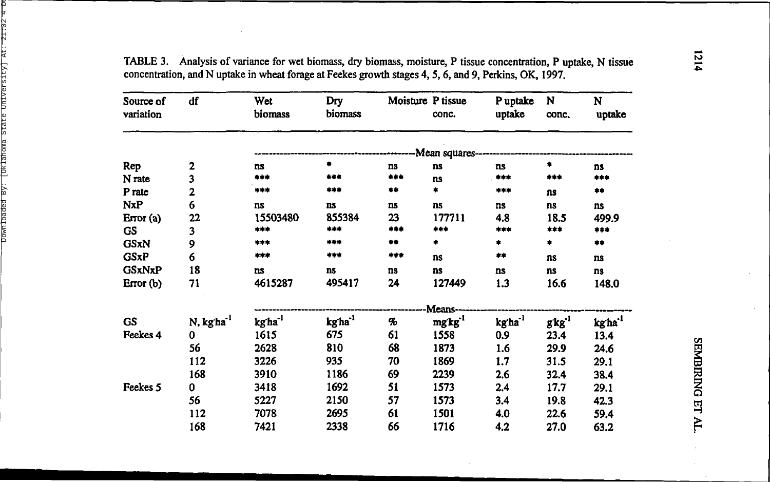| Source of<br>variation | df                    | Wet<br>biomass      | Dry<br>biomass      | Moisture P tissue | conc.          | P uptake<br>uptake          | N<br>conc.     | N<br>uptake         |
|------------------------|-----------------------|---------------------|---------------------|-------------------|----------------|-----------------------------|----------------|---------------------|
|                        |                       |                     |                     |                   | -Mean squares- |                             |                |                     |
| Rep                    | 2                     | ns                  | ۰                   | ns                | ns             | ns                          | ۰.             | ns                  |
| N rate                 | 3                     | ***                 | ***                 | ***               | ns             | ***                         | ***            | ***                 |
| P rate                 | 2                     | ***                 | ***                 | **                | ۰              | ***                         | ns             | 幸幸                  |
| <b>NxP</b>             | 6                     | ns                  | ns                  | ns                | ns             | ns                          | ns             | ns                  |
| Error(a)               | $22\phantom{.}$       | 15503480            | 855384              | 23                | 177711         | 4.8                         | 18.5           | 499.9               |
| <b>GS</b>              | 3                     | ***                 | ***                 | 半半米               | ***            | ***                         | ***            | ***                 |
| <b>GSxN</b>            | 9                     | ***                 | ***                 | **                | ۰              | ۰                           | ۰              | $***$               |
| <b>GSxP</b>            | 6                     | ***                 | ***                 | ***               | ns             | **                          | ns             | ns                  |
| <b>GSxNxP</b>          | 18                    | ns                  | ns                  | ns                | ns             | <b>ns</b>                   | ns             | ns                  |
| Error (b)              | 71                    | 4615287             | 495417              | 24                | 127449         | 1.3                         | 16.6           | 148.0               |
|                        |                       |                     |                     |                   | Means-         |                             |                |                     |
| <b>GS</b>              | N, kgha <sup>-1</sup> | kg'ha <sup>-1</sup> | kg'ha <sup>-1</sup> | %                 | $mgkg^{1}$     | $kg$ ${\rm ha}^{\text{-}1}$ | $g$ kg $^{-1}$ | kg ha <sup>-1</sup> |
| Feekes 4               | 0                     | 1615                | 675                 | 61                | 1558           | 0.9                         | 23.4           | 13.4                |
|                        | 56                    | 2628                | 810                 | 68                | 1873           | 1.6                         | 29.9           | 24.6                |
|                        | 112                   | 3226                | 935                 | 70                | 1869           | 1.7                         | 31.5           | 29.1                |
|                        | 168                   | 3910                | 1186                | 69                | 2239           | 2.6                         | 32.4           | 38.4                |
| Feekes 5               | $\mathbf 0$           | 3418                | 1692                | 51                | 1573           | 2.4                         | 17.7           | 29.1                |
|                        | 56                    | 5227                | 2150                | 57                | 1573           | 3.4                         | 19.8           | 42.3                |
|                        | 112                   | 7078                | 2695                | 61                | 1501           | 4.0                         | 22.6           | 59.4                |
|                        | 168                   | 7421                | 2338                | 66                | 1716           | 4.2                         | 27.0           | 63.2                |

TABLE 3. Analysis of variance for wet biomass, dry biomass, moisture, P tissue concentration, P uptake, N tissue concentration, and N uptake in wheat forage at Feekes growth stages 4, 5, 6, and 9, Perkins, OK, 1997.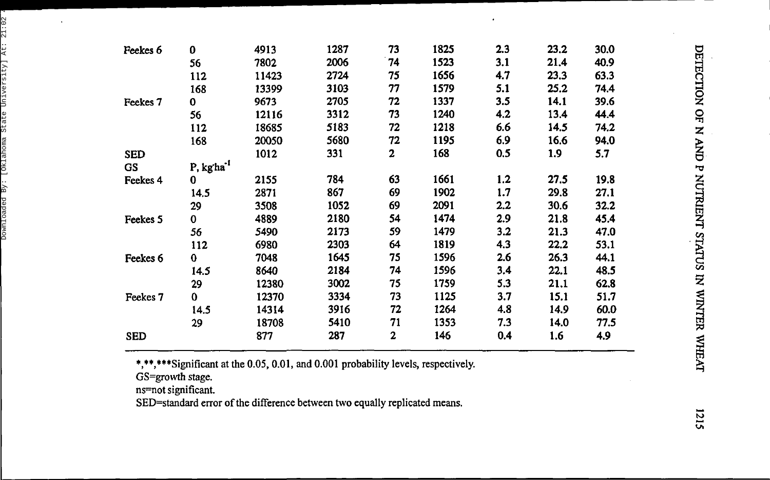| Feekes 6   | 0                      | 4913  | 1287 | 73           | 1825 | 2.3 | 23.2 | 30.0 |
|------------|------------------------|-------|------|--------------|------|-----|------|------|
|            | 56                     | 7802  | 2006 | 74           | 1523 | 3.1 | 21.4 | 40.9 |
|            | 112                    | 11423 | 2724 | 75           | 1656 | 4.7 | 23.3 | 63.3 |
|            | 168                    | 13399 | 3103 | 77           | 1579 | 5.1 | 25.2 | 74.4 |
| Feekes 7   | 0                      | 9673  | 2705 | 72           | 1337 | 3.5 | 14.1 | 39.6 |
|            | 56                     | 12116 | 3312 | 73           | 1240 | 4.2 | 13.4 | 44.4 |
|            | 112                    | 18685 | 5183 | 72           | 1218 | 6.6 | 14.5 | 74.2 |
|            | 168                    | 20050 | 5680 | 72           | 1195 | 6.9 | 16.6 | 94.0 |
| <b>SED</b> |                        | 1012  | 331  | 2            | 168  | 0.5 | 1.9  | 5.7  |
| <b>GS</b>  | P, kg'ha <sup>-1</sup> |       |      |              |      |     |      |      |
| Feekes 4   | 0                      | 2155  | 784  | 63           | 1661 | 1.2 | 27.5 | 19.8 |
|            | 14.5                   | 2871  | 867  | 69           | 1902 | 1.7 | 29.8 | 27.1 |
|            | 29                     | 3508  | 1052 | 69           | 2091 | 2.2 | 30.6 | 32.2 |
| Feekes 5   | 0                      | 4889  | 2180 | 54           | 1474 | 2.9 | 21.8 | 45.4 |
|            | 56                     | 5490  | 2173 | 59           | 1479 | 3.2 | 21.3 | 47.0 |
|            | 112                    | 6980  | 2303 | 64           | 1819 | 4.3 | 22.2 | 53.1 |
| Feekes 6   | 0                      | 7048  | 1645 | 75           | 1596 | 2.6 | 26.3 | 44.1 |
|            | 14.5                   | 8640  | 2184 | 74           | 1596 | 3.4 | 22.1 | 48.5 |
|            | 29                     | 12380 | 3002 | 75           | 1759 | 5.3 | 21.1 | 62.8 |
| Feekes 7   | 0                      | 12370 | 3334 | 73           | 1125 | 3.7 | 15.1 | 51.7 |
|            | 14.5                   | 14314 | 3916 | 72           | 1264 | 4.8 | 14.9 | 60.0 |
|            | 29                     | 18708 | 5410 | 71           | 1353 | 7.3 | 14.0 | 77.5 |
| <b>SED</b> |                        | 877   | 287  | $\mathbf{2}$ | 146  | 0.4 | 1.6  | 4.9  |

 $\cdot$ 

\*,\*\*,\*\*\*Significant at the 0.05, 0.01, and 0.001 probability levels, respectively.

GS=growth stage .

 $\ddot{\phantom{a}}$ 

ns=no t significant .

SED=standar d erro r o f th e differenc e betwee n tw o equall y replicate d means .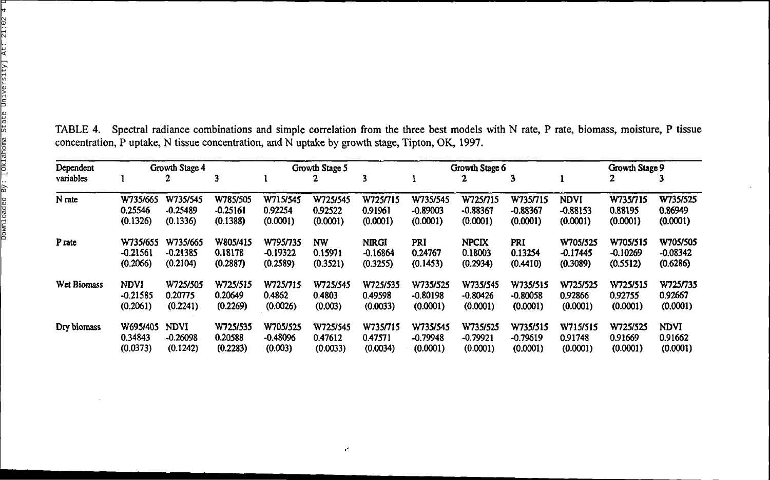| Dependent         | Growth Stage 4 |             |            | Growth Stage 5 |           |              |            | Growth Stage 6 |            |             | Growth Stage 9 |             |
|-------------------|----------------|-------------|------------|----------------|-----------|--------------|------------|----------------|------------|-------------|----------------|-------------|
| variables         |                |             | 3          |                | 2         | 3            |            | 2              | 3          |             |                |             |
| N rate            | W735/665       | W735/545    | W785/505   | W715/545       | W725/545  | W725/715     | W735/545   | W725/715       | W735/715   | <b>NDVI</b> | W7357715       | W735/525    |
|                   | 0.25546        | $-0.25489$  | $-0.25161$ | 0.92254        | 0.92522   | 0.91961      | $-0.89003$ | $-0.88367$     | $-0.88367$ | $-0.88153$  | 0.88195        | 0.86949     |
|                   | (0.1326)       | (0.1336)    | (0.1388)   | (0.0001)       | (0.0001)  | (0.0001)     | (0.0001)   | (0.0001)       | (0.0001)   | (0.0001)    | (0.0001)       | (0.0001)    |
| P <sub>rate</sub> | W735/655       | W735/665    | W805/415   | W795/735       | <b>NW</b> | <b>NIRGI</b> | PRI        | <b>NPCIX</b>   | PRI        | W705/525    | W705/515       | W705/505    |
|                   | $-0.21561$     | $-0.21385$  | 0.18178    | $-0.19322$     | 0.15971   | $-0.16864$   | 0.24767    | 0.18003        | 0.13254    | $-0.17445$  | $-0.10269$     | $-0.08342$  |
|                   | (0.2066)       | (0.2104)    | (0.2887)   | (0.2589)       | (0.3521)  | (0.3255)     | (0.1453)   | (0.2934)       | (0.4410)   | (0.3089)    | (0.5512)       | (0.6286)    |
| Wet Biomass       | <b>NDVI</b>    | W725/505    | W725/515   | W725/715       | W725/545  | W725/535     | W735/525   | W735/545       | W735/515   | W725/525    | W725/515       | W725/735    |
|                   | $-0.21585$     | 0.20775     | 0.20649    | 0.4862         | 0.4803    | 0.49598      | $-0.80198$ | $-0.80426$     | $-0.80058$ | 0.92866     | 0.92755        | 0.92667     |
|                   | (0.2061)       | (0.2241)    | (0.2269)   | (0.0026)       | (0.003)   | (0.0033)     | (0.0001)   | (0.0001)       | (0.0001)   | (0.0001)    | (0.0001)       | (0.0001)    |
| Dry biomass       | W695/405       | <b>NDVI</b> | W725/535   | W705/525       | W725/545  | W735/715     | W735/545   | W735/525       | W735/515   | W715/515    | W725/525       | <b>NDVI</b> |
|                   | 0.34843        | $-0.26098$  | 0.20588    | $-0.48096$     | 0.47612   | 0.47571      | $-0.79948$ | $-0.79921$     | $-0.79619$ | 0.91748     | 0.91669        | 0.91662     |
|                   | (0.0373)       | (0.1242)    | (0.2283)   | (0.003)        | (0.0033)  | (0.0034)     | (0.0001)   | (0.0001)       | (0.0001)   | (0.0001)    | (0.0001)       | (0.0001)    |

 $\mathcal{L}$ 

TABLE 4. Spectral radiance combinations and simple correlation from the three best models with N rate, P rate, biomass, moisture, P tissue concentration, P uptake, N tissue concentration, and N uptake by growth stage, Tipton, OK, 1997.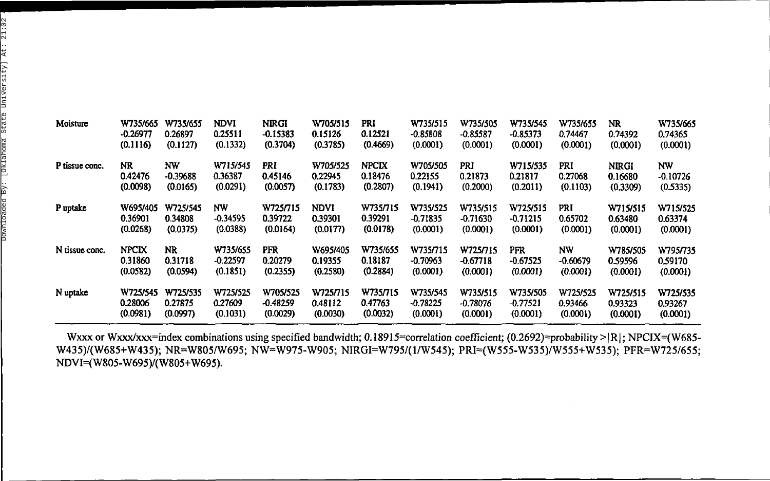| Moisture       | W735/665     | W735/655   | NDVI       | <b>NRGI</b> | W705/515 | PRI          | W735/515   | W735/505   | W735/545   | W735/655   | NR           | W735/665   |
|----------------|--------------|------------|------------|-------------|----------|--------------|------------|------------|------------|------------|--------------|------------|
|                | $-0.26977$   | 0.26897    | 0.25511    | $-0.15383$  | 0.15126  | 0.12521      | $-0.85808$ | $-0.85587$ | $-0.85373$ | 0.74467    | 0.74392      | 0.74365    |
|                | (0.1116)     | (0.1127)   | (0.1332)   | (0.3704)    | (0.3785) | (0.4669)     | (0.0001)   | (0.0001)   | (0.0001)   | (0.0001)   | (0.0001)     | (0.0001)   |
| P tissue conc. | NR           | NW         | W715/545   | PRI         | W705/525 | <b>NPCIX</b> | W705/505   | PRI        | W715/535   | PRI        | <b>NIRGI</b> | <b>NW</b>  |
|                | 0.42476      | $-0.39688$ | 0.36387    | 0.45146     | 0.22945  | 0.18476      | 0.22155    | 0.21873    | 0.21817    | 0.27068    | 0.16680      | $-0.10726$ |
|                | (0.0098)     | (0.0165)   | (0.0291)   | (0.0057)    | (0.1783) | (0.2807)     | (0.1941)   | (0.2000)   | (0.2011)   | (0.1103)   | (0.3309)     | (0.5335)   |
| P uptake       | W695/405     | W725/545   | NW         | W725/715    | NDVI     | W735/715     | W735/525   | W735/515   | W725/515   | PRI        | W715/515     | W715/525   |
|                | 0.36901      | 0.34808    | $-0.34595$ | 0.39722     | 0.39301  | 0.39291      | $-0.71835$ | $-0.71630$ | $-0.71215$ | 0.65702    | 0.63480      | 0.63374    |
|                | (0.0268)     | (0.0375)   | (0.0388)   | (0.0164)    | (0.0177) | (0.0178)     | (0.0001)   | (0.0001)   | (0.0001)   | (0.0001)   | (0.0001)     | (0.0001)   |
| N tissue conc. | <b>NPCIX</b> | NR         | W735/655   | PFR         | W695/405 | W735/655     | W735/715   | W725/715   | PFR        | NW         | W785/505     | W795/735   |
|                | 0.31860      | 0.31718    | $-0.22597$ | 0.20279     | 0.19355  | 0.18187      | $-0.70963$ | $-0.67718$ | $-0.67525$ | $-0.60679$ | 0.59596      | 0.59170    |
|                | (0.0582)     | (0.0594)   | (0.1851)   | (0.2355)    | (0.2580) | (0.2884)     | (0.0001)   | (0.0001)   | (0.0001)   | (0.0001)   | (0.0001)     | (0.0001)   |
| N uptake       | W725/545     | W725/535   | W725/525   | W705/525    | W725/715 | W735/715     | W735/545   | W735/515   | W735/505   | W725/525   | W725/515     | W725/535   |
|                | 0.28006      | 0.27875    | 0.27609    | -0.48259    | 0.48112  | 0.47763      | $-0.78225$ | $-0.78076$ | $-0.77521$ | 0.93466    | 0.93323      | 0.93267    |
|                | (0.0981)     | (0.0997)   | (0.1031)   | (0.0029)    | (0.0030) | (0.0032)     | (0.0001)   | (0.0001)   | (0.0001)   | (0.0001)   | (0.0001)     | (0.0001)   |

Wxxx or Wxxx/xxx=index combinations using specified bandwidth; 0.18915=correlation coefficient; (0.2692)=probability >|R|; NPCIX=(W685-W435)/(W685+W435); NR=W805/W695; NW=W975-W905; NIRGI=W795/(1/W545); PRI=(W555-W535)/W555+W535); PFR=W725/655; NDVI=(W805-W695)/(W805+W695).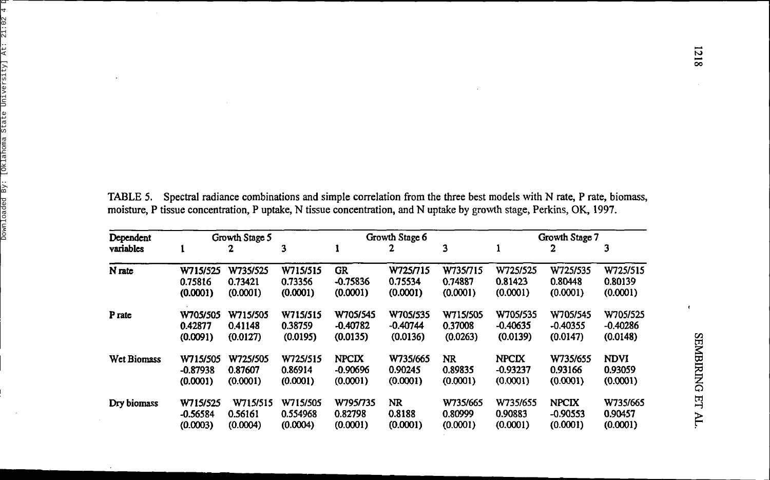TABLE 5. Spectral radiance combinations and simple correlation from the three best models with N rate, P rate, biomass, moisture, P tissue concentration, P uptake, N tissue concentration, and N uptake by growth stage, Perkins, OK, 1997.

 $\ddot{\phantom{a}}$ 

| Dependent          | Growth Stage 5 |          |          | Growth Stage 6 |            |           | Growth Stage 7 |              |             |  |
|--------------------|----------------|----------|----------|----------------|------------|-----------|----------------|--------------|-------------|--|
| variables          |                | 2        | 3        |                | 2          | 3         |                | 2            |             |  |
| N rate             | W715/525       | W735/525 | W715/515 | GR             | W725/715   | W735/715  | W725/525       | W725/535     | W725/515    |  |
|                    | 0.75816        | 0.73421  | 0.73356  | $-0.75836$     | 0.75534    | 0.74887   | 0.81423        | 0.80448      | 0.80139     |  |
|                    | (0.0001)       | (0.0001) | (0.0001) | (0.0001)       | (0.0001)   | (0.0001)  | (0.0001)       | (0.0001)     | (0.0001)    |  |
| P <sub>ratc</sub>  | W705/505       | W715/505 | W715/515 | W705/545       | W705/535   | W715/505  | W705/535       | W705/545     | W705/525    |  |
|                    | 0.42877        | 0.41148  | 0.38759  | $-0.40782$     | $-0.40744$ | 0.37008   | $-0.40635$     | $-0.40355$   | $-0.40286$  |  |
|                    | (0.0091)       | (0.0127) | (0.0195) | (0.0135)       | (0.0136)   | (0.0263)  | (0.0139)       | (0.0147)     | (0.0148)    |  |
| <b>Wet Biomass</b> | W715/505       | W725/505 | W725/515 | <b>NPCIX</b>   | W735/665   | <b>NR</b> | <b>NPCIX</b>   | W735/655     | <b>NDVI</b> |  |
|                    | $-0.87938$     | 0.87607  | 0.86914  | $-0.90696$     | 0.90245    | 0.89835   | $-0.93237$     | 0.93166      | 0.93059     |  |
|                    | (0.0001)       | (0.0001) | (0.0001) | (0.0001)       | (0.0001)   | (0.0001)  | (0.0001)       | (0.0001)     | (0.0001)    |  |
| Dry biomass        | W715/525       | W715/515 | W715/505 | W795/735       | <b>NR</b>  | W735/665  | W735/655       | <b>NPCIX</b> | W735/665    |  |
|                    | $-0.56584$     | 0.56161  | 0.554968 | 0.82798        | 0.8188     | 0.80999   | 0.90883        | $-0.90553$   | 0.90457     |  |
|                    | (0.0003)       | (0.0004) | (0.0004) | (0.0001)       | (0.0001)   | (0.0001)  | (0.0001)       | (0.0001)     | (0.0001)    |  |

 $\epsilon$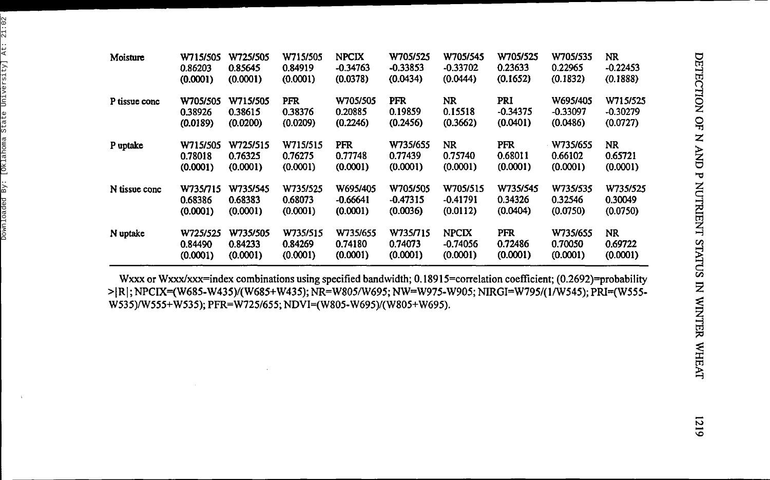| Moisture      | W715/505 | W725/505 | W715/505   | <b>NPCIX</b> | W705/525   | W705/545     | W705/525   | W705/535   | NR         |
|---------------|----------|----------|------------|--------------|------------|--------------|------------|------------|------------|
|               | 0.86203  | 0.85645  | 0.84919    | -0.34763     | $-0.33853$ | $-0.33702$   | 0.23633    | 0.22965    | $-0.22453$ |
|               | (0.0001) | (0.0001) | (0.0001)   | (0.0378)     | (0.0434)   | (0.0444)     | (0.1652)   | (0.1832)   | (0.1888)   |
| P tissue conc | W705/505 | W715/505 | <b>PFR</b> | W705/505     | <b>PFR</b> | NR           | PRI        | W695/405   | W715/525   |
|               | 0.38926  | 0.38615  | 0.38376    | 0.20885      | 0.19859    | 0.15518      | $-0.34375$ | $-0.33097$ | $-0.30279$ |
|               | (0.0189) | (0.0200) | (0.0209)   | (0.2246)     | (0.2456)   | (0.3662)     | (0.0401)   | (0.0486)   | (0.0727)   |
| P uptake      | W715/505 | W725/515 | W715/515   | <b>PFR</b>   | W735/655   | <b>NR</b>    | PFR        | W735/655   | <b>NR</b>  |
|               | 0.78018  | 0.76325  | 0.76275    | 0.77748      | 0.77439    | 0.75740      | 0.68011    | 0.66102    | 0.65721    |
|               | (0.0001) | (0.0001) | (0.0001)   | (0.0001)     | (0.0001)   | (0.0001)     | (0.0001)   | (0.0001)   | (0.0001)   |
| N tissue conc | W735/715 | W735/545 | W735/525   | W695/405     | W705/505   | W705/515     | W735/545   | W735/535   | W735/525   |
|               | 0.68386  | 0.68383  | 0.68073    | $-0.66641$   | $-0.47315$ | $-0.41791$   | 0.34326    | 0.32546    | 0.30049    |
|               | (0.0001) | (0.0001) | (0.0001)   | (0.0001)     | (0.0036)   | (0.0112)     | (0.0404)   | (0.0750)   | (0.0750)   |
| N uptake      | W725/525 | W735/505 | W735/515   | W735/655     | W735/715   | <b>NPCIX</b> | <b>PFR</b> | W735/655   | NR.        |
|               | 0.84490  | 0.84233  | 0.84269    | 0.74180      | 0.74073    | $-0.74056$   | 0.72486    | 0.70050    | 0.69722    |
|               | (0.0001) | (0.0001) | (0.0001)   | (0.0001)     | (0.0001)   | (0.0001)     | (0.0001)   | (0.0001)   | (0.0001)   |

Wxxx or Wxxx/xxx=index combinations using specified bandwidth; 0.18915=correlation coefficient; (0.2692)=probability >|R|; NPCIX=(W685-W435)/(W685+W435); NR=W805/W695; NW=W975-W905; NIRGI=W795/(1/W545); PRI=(W555-W535)/W555+W535); PFR=W725/655; NDVI=(W805-W695)/(W805+W695).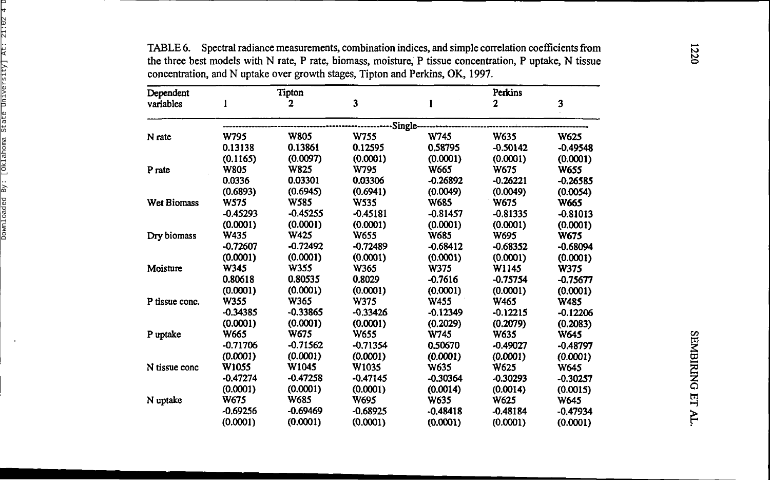| Dependent          |             | Tipton      |             |             | Perkins    |             |
|--------------------|-------------|-------------|-------------|-------------|------------|-------------|
| variables          | 1           | 2           | 3           |             | 2          | 3           |
|                    |             |             | Single-     |             |            |             |
| N rate             | <b>W795</b> | <b>W805</b> | W755        | W745        | W635       | <b>W625</b> |
|                    | 0.13138     | 0.13861     | 0.12595     | 0.58795     | $-0.50142$ | $-0.49548$  |
|                    | (0.1165)    | (0.0097)    | (0.0001)    | (0.0001)    | (0.0001)   | (0.0001)    |
| P rate             | <b>W805</b> | <b>W825</b> | W795        | W665        | W675       | <b>W655</b> |
|                    | 0.0336      | 0.03301     | 0.03306     | $-0.26892$  | -0.26221   | $-0.26585$  |
|                    | (0.6893)    | (0.6945)    | (0.6941)    | (0.0049)    | (0.0049)   | (0.0054)    |
| <b>Wet Biomass</b> | W575        | W585        | <b>W535</b> | <b>W685</b> | W675       | W665        |
|                    | $-0.45293$  | $-0.45255$  | $-0.45181$  | $-0.81457$  | $-0.81335$ | $-0.81013$  |
|                    | (0.0001)    | (0.0001)    | (0.0001)    | (0.0001)    | (0.0001)   | (0.0001)    |
| Dry biomass        | W435        | <b>W425</b> | <b>W655</b> | <b>W685</b> | W695       | W675        |
|                    | $-0.72607$  | $-0.72492$  | $-0.72489$  | $-0.68412$  | $-0.68352$ | $-0.68094$  |
|                    | (0.0001)    | (0.0001)    | (0.0001)    | (0.0001)    | (0.0001)   | (0.0001)    |
| Moisture           | W345        | W355        | W365        | <b>W375</b> | W1145      | W375        |
|                    | 0.80618     | 0.80535     | 0.8029      | $-0.7616$   | $-0.75754$ | $-0.75677$  |
|                    | (0.0001)    | (0.0001)    | (0.0001)    | (0.0001)    | (0.0001)   | (0.0001)    |
| P tissue conc.     | W355        | W365        | W375        | <b>W455</b> | W465       | <b>W485</b> |
|                    | $-0.34385$  | $-0.33865$  | $-0.33426$  | $-0.12349$  | $-0.12215$ | $-0.12206$  |
|                    | (0.0001)    | (0.0001)    | (0.0001)    | (0.2029)    | (0.2079)   | (0.2083)    |
| P uptake           | W665        | W675        | W655        | W745        | W635       | W645        |
|                    | $-0.71706$  | $-0.71562$  | $-0.71354$  | 0.50670     | $-0.49027$ | $-0.48797$  |
|                    | (0.0001)    | (0.0001)    | (0.0001)    | (0.0001)    | (0.0001)   | (0.0001)    |
| N tissue conc      | W1055       | W1045       | W1035       | W635        | W625       | W645        |
|                    | $-0.47274$  | $-0.47258$  | -0.47145    | $-0.30364$  | $-0.30293$ | $-0.30257$  |
|                    | (0.0001)    | (0.0001)    | (0.0001)    | (0.0014)    | (0.0014)   | (0.0015)    |
| N uptake           | W675        | <b>W685</b> | W695        | W635        | W625       | <b>W645</b> |
|                    | -0.69256    | $-0.69469$  | $-0.68925$  | $-0.48418$  | $-0.48184$ | $-0.47934$  |
|                    | (0.0001)    | (0.0001)    | (0.0001)    | (0.0001)    | (0.0001)   | (0.0001)    |

TABLE 6. Spectral radiance measurements, combination indices, and simple correlation coefficients from the three best models with N rate, P rate, biomass, moisture, P tissue concentration, P uptake, N tissue concentration , an d N uptake ove r growth stages , Tipto n an d Perkins , OK , 1997 .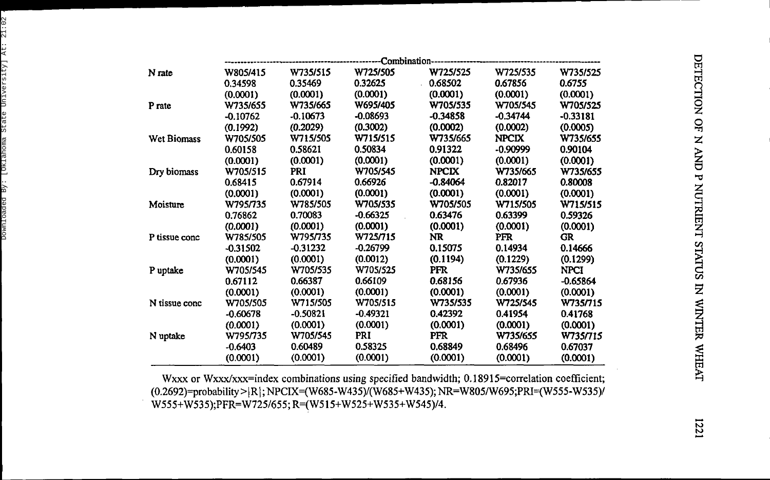|                    |            |            |            | -------Combination----------------- |              |             |
|--------------------|------------|------------|------------|-------------------------------------|--------------|-------------|
| N rate             | W805/415   | W735/515   | W725/505   | W725/525                            | W725/535     | W735/525    |
|                    | 0.34598    | 0.35469    | 0.32625    | 0.68502                             | 0.67856      | 0.6755      |
|                    | (0.0001)   | (0.0001)   | (0.0001)   | (0.0001)                            | (0.0001)     | (0.0001)    |
| P rate             | W735/655   | W735/665   | W695/405   | W705/535                            | W705/545     | W705/525    |
|                    | $-0.10762$ | $-0.10673$ | -0.08693   | $-0.34858$                          | $-0.34744$   | $-0.33181$  |
|                    | (0.1992)   | (0.2029)   | (0.3002)   | (0.0002)                            | (0.0002)     | (0.0005)    |
| <b>Wet Biomass</b> | W705/505   | W715/505   | W715/515   | W735/665                            | <b>NPCIX</b> | W735/655    |
|                    | 0.60158    | 0.58621    | 0.50834    | 0.91322                             | $-0.90999$   | 0.90104     |
|                    | (0.0001)   | (0.0001)   | (0.0001)   | (0.0001)                            | (0.0001)     | (0.0001)    |
| Dry biomass        | W705/515   | PRI        | W705/545   | <b>NPCIX</b>                        | W735/665     | W735/655    |
|                    | 0.68415    | 0.67914    | 0.66926    | $-0.84064$                          | 0.82017      | 0.80008     |
|                    | (0.0001)   | (0.0001)   | (0.0001)   | (0.0001)                            | (0.0001)     | (0.0001)    |
| Moisture           | W795/735   | W785/505   | W705/535   | W705/505                            | W715/505     | W715/515    |
|                    | 0.76862    | 0.70083    | $-0.66325$ | 0.63476                             | 0.63399      | 0.59326     |
|                    | (0.0001)   | (0.0001)   | (0.0001)   | (0.0001)                            | (0.0001)     | (0.0001)    |
| P tissue conc      | W785/505   | W795/735   | W725/715   | NR.                                 | PFR          | GR.         |
|                    | $-0.31502$ | $-0.31232$ | $-0.26799$ | 0.15075                             | 0.14934      | 0.14666     |
|                    | (0.0001)   | (0.0001)   | (0.0012)   | (0.1194)                            | (0.1229)     | (0.1299)    |
| P uptake           | W705/545   | W705/535   | W705/525   | PFR                                 | W735/655     | <b>NPCI</b> |
|                    | 0.67112    | 0.66387    | 0.66109    | 0.68156                             | 0.67936      | $-0.65864$  |
|                    | (0.0001)   | (0.0001)   | (0.0001)   | (0.0001)                            | (0.0001)     | (0.0001)    |
| N tissue conc      | W705/505   | W715/505   | W705/515   | W735/535                            | W725/545     | W735/715    |
|                    | $-0.60678$ | $-0.50821$ | $-0.49321$ | 0.42392                             | 0.41954      | 0.41768     |
|                    | (0.0001)   | (0.0001)   | (0.0001)   | (0.0001)                            | (0.0001)     | (0.0001)    |
| N uptake           | W795/735   | W705/545   | PRI        | PFR.                                | W735/655     | W735/715    |
|                    | $-0.6403$  | 0.60489    | 0.58325    | 0.68849                             | 0.68496      | 0.67037     |
|                    | (0.0001)   | (0.0001)   | (0.0001)   | (0.0001)                            | (0.0001)     | (0.0001)    |

Wxxx or Wxxx/xxx=index combinations using specified bandwidth; 0.18915=correlation coefficient; (0.2692)=probability>|R|; NPCIX=(W685-W435)/(W685+W435); NR=W805/W695;PRI=(W555-W535)/ W555+W535);PFR=W725/655;R=(W515+W525+W535+W545)/4 .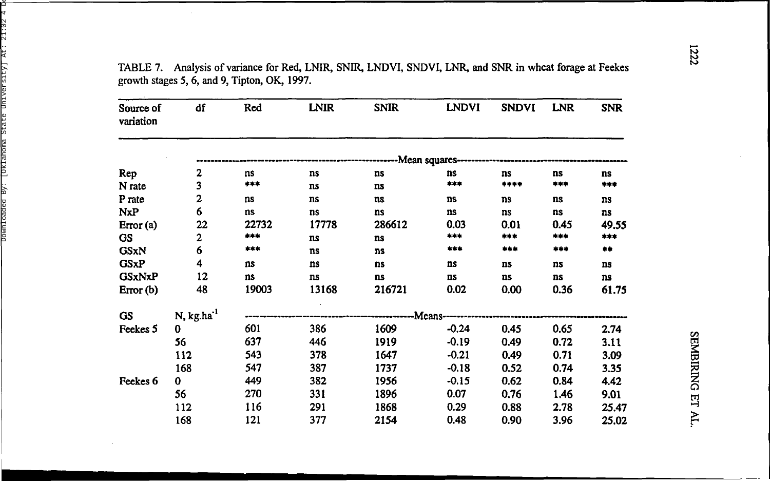TABLE 7. Analysis of variance for Red, LNIR, SNIR, LNDVI, SNDVI, LNR, and SNR in wheat forage at Feekes growth stages 5, 6, and 9, Tipton, OK, 1997.

| Source of<br>variation | df                     | Red   | <b>LNIR</b> | <b>SNIR</b>                                                 | <b>LNDVI</b>    | <b>SNDVI</b> | <b>LNR</b> | <b>SNR</b>            |
|------------------------|------------------------|-------|-------------|-------------------------------------------------------------|-----------------|--------------|------------|-----------------------|
|                        |                        |       |             | --------------------------Mean squares--------------------- |                 |              |            |                       |
| Rep                    | 2                      | ns    | ns          | ns                                                          | ns              | ns           | ns         | ns                    |
| N rate                 | 3                      | ***   | ns          | ns                                                          | ***             | ****         | ***        | ***                   |
| P rate                 | $\mathbf{z}$           | ns    | ns          | ns                                                          | ns              | ns           | ns         | <b>ns</b>             |
| <b>NxP</b>             | 6                      | ns    | ns          | ns                                                          | ns              | ns           | ns         | ns                    |
| Error (a)              | 22                     | 22732 | 17778       | 286612                                                      | 0.03            | 0.01         | 0.45       | 49.55                 |
| <b>GS</b>              | 2                      | ***   | ns          | ns                                                          | ***             | ***          | ***        | ***                   |
| <b>GSxN</b>            | 6                      | ***   | ns          | ns                                                          | ***             | ***          | ***        | $\clubsuit\spadesuit$ |
| <b>GSxP</b>            | 4                      | ns    | ns          | ns                                                          | ns              | ns           | ns         | ns                    |
| <b>GSxNxP</b>          | 12                     | ns    | ns          | ns                                                          | ns              | ns           | ns         | ns                    |
| Error $(b)$            | 48                     | 19003 | 13168       | 216721                                                      | 0.02            | 0.00         | 0.36       | 61.75                 |
| GS                     | N, kg.ha <sup>-1</sup> |       |             |                                                             | -Means--------- |              |            |                       |
| Feekes 5               | 0                      | 601   | 386         | 1609                                                        | $-0.24$         | 0.45         | 0.65       | 2.74                  |
|                        | 56                     | 637   | 446         | 1919                                                        | $-0.19$         | 0.49         | 0.72       | 3.11                  |
|                        | 112                    | 543   | 378         | 1647                                                        | $-0.21$         | 0.49         | 0.71       | 3.09                  |
|                        | 168                    | 547   | 387         | 1737                                                        | $-0.18$         | 0.52         | 0.74       | 3.35                  |
| Feekes 6               | 0                      | 449   | 382         | 1956                                                        | $-0.15$         | 0.62         | 0.84       | 4.42                  |
|                        | 56                     | 270   | 331         | 1896                                                        | 0.07            | 0.76         | 1.46       | 9.01                  |
|                        | 112                    | 116   | 291         | 1868                                                        | 0.29            | 0.88         | 2.78       | 25.47                 |
|                        | 168                    | 121   | 377         | 2154                                                        | 0.48            | 0.90         | 3.96       | 25.02                 |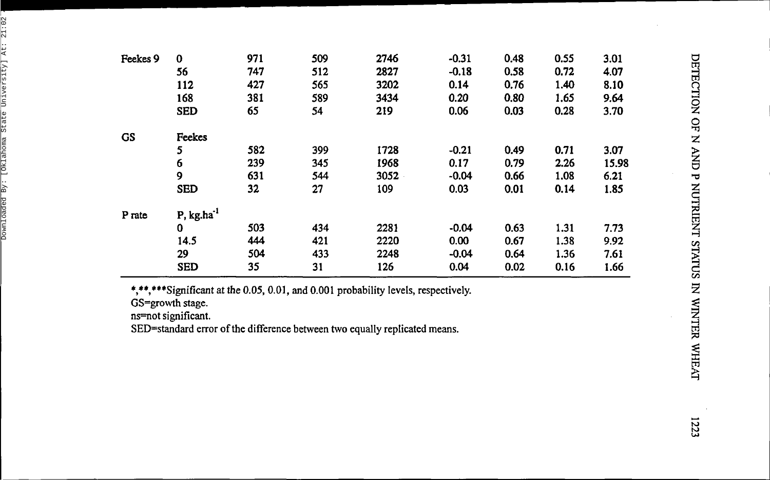| Feekes 9  | $\bf{0}$            | 971 | 509 | 2746 | $-0.31$ | 0.48 | 0.55 | 3.01  |
|-----------|---------------------|-----|-----|------|---------|------|------|-------|
|           | 56                  | 747 | 512 | 2827 | $-0.18$ | 0.58 | 0.72 | 4.07  |
|           | 112                 | 427 | 565 | 3202 | 0.14    | 0.76 | 1.40 | 8.10  |
|           | 168                 | 381 | 589 | 3434 | 0.20    | 0.80 | 1.65 | 9.64  |
|           | <b>SED</b>          | 65  | 54  | 219  | 0.06    | 0.03 | 0.28 | 3.70  |
| <b>GS</b> | Feekes              |     |     |      |         |      |      |       |
|           | 5                   | 582 | 399 | 1728 | $-0.21$ | 0.49 | 0.71 | 3.07  |
|           | 6                   | 239 | 345 | 1968 | 0.17    | 0.79 | 2.26 | 15.98 |
|           | 9                   | 631 | 544 | 3052 | $-0.04$ | 0.66 | 1.08 | 6.21  |
|           | <b>SED</b>          | 32  | 27  | 109  | 0.03    | 0.01 | 0.14 | 1.85  |
| P rate    | $P$ , kg.ha $^{-1}$ |     |     |      |         |      |      |       |
|           | $\bf{0}$            | 503 | 434 | 2281 | $-0.04$ | 0.63 | 1.31 | 7.73  |
|           | 14.5                | 444 | 421 | 2220 | 0.00    | 0.67 | 1.38 | 9.92  |
|           | 29                  | 504 | 433 | 2248 | $-0.04$ | 0.64 | 1.36 | 7.61  |
|           | <b>SED</b>          | 35  | 31  | 126  | 0.04    | 0.02 | 0.16 | 1.66  |

\*,\*\*,\*\*\*Significant at the 0.05, 0.01, and 0.001 probability levels, respectively.

GS=growth stage.

ns=not significant.

SED=standard error of the difference between two equally replicated means.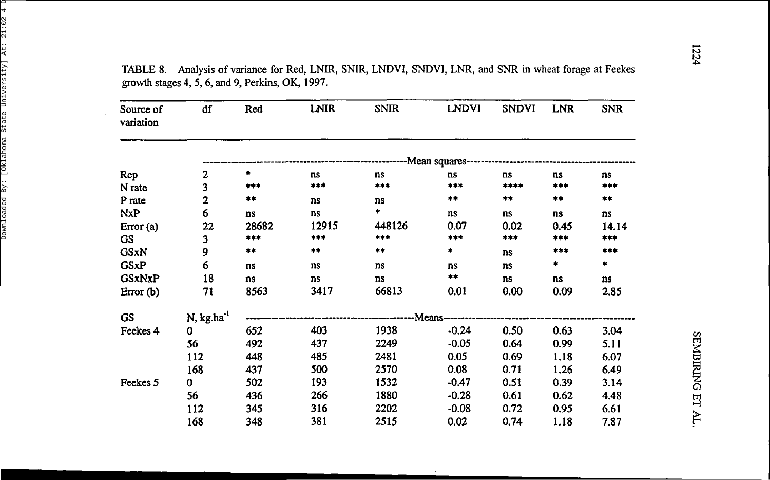TABLE 8. Analysis of variance for Red, LNIR, SNIR, LNDVI, SNDVI, LNR, and SNR in wheat forage at Feekes growth stages 4, 5, 6, and 9, Perkins, OK, 1997.

 $\sim$ 

| Source of<br>variation | df                     | Red   | <b>LNIR</b> | <b>SNIR</b>                                     | <b>LNDVI</b>   | <b>SNDVI</b> | <b>LNR</b> | <b>SNR</b> |
|------------------------|------------------------|-------|-------------|-------------------------------------------------|----------------|--------------|------------|------------|
|                        |                        |       |             | --------------Mean squares--------------------- |                |              |            |            |
| Rep                    | 2                      | *     | ns          | ns                                              | ns             | ns           | ns         | ns         |
| N rate                 | 3                      | ***   | ***         | ***                                             | $***$          | ****         | ***        | ***        |
| P rate                 | $\mathbf 2$            | $***$ | ns          | ns                                              | **             | **           | **         | $* *$      |
| NxP                    | 6                      | ns    | ns          | $\ddot{\phantom{1}}$                            | ns             | ns           | ns         | ns         |
| Error(a)               | 22                     | 28682 | 12915       | 448126                                          | 0.07           | 0.02         | 0.45       | 14.14      |
| GS.                    | 3                      | ***   | ***         | ***                                             | ***            | ***          | ***        | ***        |
| <b>GSxN</b>            | 9                      | $***$ | **          | **                                              | *              | ns           | ***        | ***        |
| <b>GSxP</b>            | 6                      | ns    | ns          | ns                                              | ns             | ns           | *          | *          |
| <b>GSxNxP</b>          | 18                     | ns    | ns          | ns                                              | $\star\star$   | ns           | ns         | ns         |
| Error(b)               | 71                     | 8563  | 3417        | 66813                                           | 0.01           | 0.00         | 0.09       | 2.85       |
| <b>GS</b>              | N, kg.ha <sup>-1</sup> |       |             |                                                 | -Means-------- |              |            |            |
| Feekes 4               | 0                      | 652   | 403         | 1938                                            | $-0.24$        | 0.50         | 0.63       | 3.04       |
|                        | 56                     | 492   | 437         | 2249                                            | $-0.05$        | 0.64         | 0.99       | 5.11       |
|                        | 112                    | 448   | 485         | 2481                                            | 0.05           | 0.69         | 1.18       | 6.07       |
|                        | 168                    | 437   | 500         | 2570                                            | 0.08           | 0.71         | 1.26       | 6.49       |
| Feekes 5               | 0                      | 502   | 193         | 1532                                            | $-0.47$        | 0.51         | 0.39       | 3.14       |
|                        | 56                     | 436   | 266         | 1880                                            | $-0.28$        | 0.61         | 0.62       | 4.48       |
|                        | 112                    | 345   | 316         | 2202                                            | $-0.08$        | 0.72         | 0.95       | 6.61       |
|                        | 168                    | 348   | 381         | 2515                                            | 0.02           | 0.74         | 1.18       | 7.87       |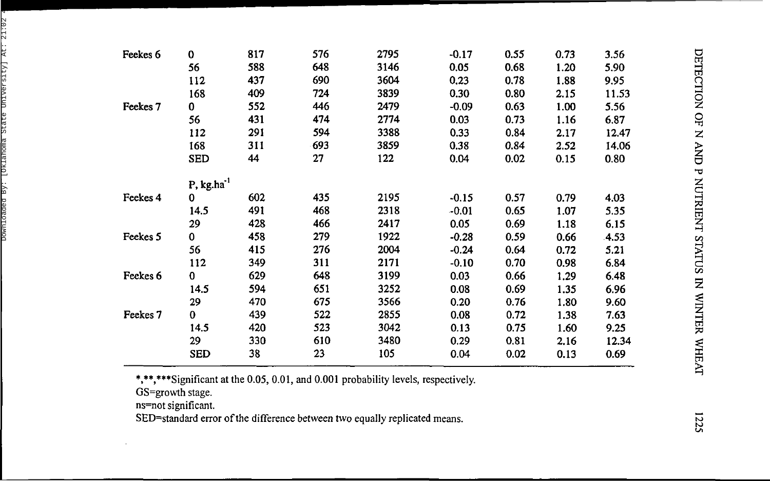| Feekes 6            | 0                      | 817 | 576 | 2795 | $-0.17$ | 0.55 | 0.73 | 3.56  |
|---------------------|------------------------|-----|-----|------|---------|------|------|-------|
|                     | 56                     | 588 | 648 | 3146 | 0.05    | 0.68 | 1.20 | 5.90  |
|                     | 112                    | 437 | 690 | 3604 | 0.23    | 0.78 | 1.88 | 9.95  |
|                     | 168                    | 409 | 724 | 3839 | 0.30    | 0.80 | 2.15 | 11.53 |
| Feekes <sub>7</sub> | 0                      | 552 | 446 | 2479 | $-0.09$ | 0.63 | 1.00 | 5.56  |
|                     | 56                     | 431 | 474 | 2774 | 0.03    | 0.73 | 1.16 | 6.87  |
|                     | 112                    | 291 | 594 | 3388 | 0.33    | 0.84 | 2.17 | 12.47 |
|                     | 168                    | 311 | 693 | 3859 | 0.38    | 0.84 | 2.52 | 14.06 |
|                     | <b>SED</b>             | 44  | 27  | 122  | 0.04    | 0.02 | 0.15 | 0.80  |
|                     | P, kg.ha <sup>-1</sup> |     |     |      |         |      |      |       |
| Feekes 4            | 0                      | 602 | 435 | 2195 | $-0.15$ | 0.57 | 0.79 | 4.03  |
|                     | 14.5                   | 491 | 468 | 2318 | $-0.01$ | 0.65 | 1.07 | 5.35  |
|                     | 29                     | 428 | 466 | 2417 | 0.05    | 0.69 | 1.18 | 6.15  |
| Feekes 5            | $\bf{0}$               | 458 | 279 | 1922 | $-0.28$ | 0.59 | 0.66 | 4.53  |
|                     | 56                     | 415 | 276 | 2004 | $-0.24$ | 0.64 | 0.72 | 5.21  |
|                     | 112                    | 349 | 311 | 2171 | $-0.10$ | 0.70 | 0.98 | 6.84  |
| Feekes 6            | $\bf{0}$               | 629 | 648 | 3199 | 0.03    | 0.66 | 1.29 | 6.48  |
|                     | 14.5                   | 594 | 651 | 3252 | 0.08    | 0.69 | 1.35 | 6.96  |
|                     | 29                     | 470 | 675 | 3566 | 0.20    | 0.76 | 1.80 | 9.60  |
| Feekes 7            | 0                      | 439 | 522 | 2855 | 0.08    | 0.72 | 1.38 | 7.63  |
|                     | 14.5                   | 420 | 523 | 3042 | 0.13    | 0.75 | 1.60 | 9.25  |
|                     | 29                     | 330 | 610 | 3480 | 0.29    | 0.81 | 2.16 | 12.34 |
|                     | <b>SED</b>             | 38  | 23  | 105  | 0.04    | 0.02 | 0.13 | 0.69  |

\*,\*\*,\*\*\*Significant at the 0.05, 0.01, and 0.001 probability levels, respectively.

GS=growth stage .

ns=not significant .

SED=standard error of the difference between two equally replicated means.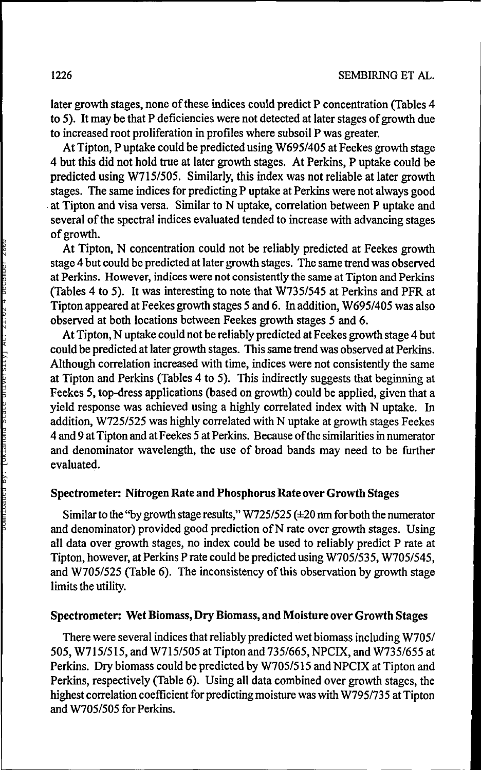later growth stages, none of these indices could predict P concentration (Tables 4 to 5). It may be that P deficiencies were not detected at later stages of growth due to increased root proliferation in profiles where subsoil P was greater.

At Tipton, P uptake could be predicted using W695/405 at Feekes growth stage 4 but this did not hold true at later growth stages. At Perkins, P uptake could be predicted using W715/505. Similarly, this index was not reliable at later growth stages. The same indices for predicting P uptake at Perkins were not always good at Tipton and visa versa. Similar to N uptake, correlation between P uptake and several of the spectral indices evaluated tended to increase with advancing stages of growth.

At Tipton, N concentration could not be reliably predicted at Feekes growth stage 4 but could be predicted at later growth stages. The same trend was observed at Perkins. However, indices were not consistently the same at Tipton and Perkins (Tables 4 to 5). It was interesting to note that W735/545 at Perkins and PFR at Tipton appeared at Feekes growth stages 5 and 6. In addition, W695/405 was also observed at both locations between Feekes growth stages 5 and 6.

At Tipton, N uptake could not be reliably predicted at Feekes growth stage 4 but could be predicted at later growth stages. This same trend was observed at Perkins. Although correlation increased with time, indices were not consistently the same at Tipton and Perkins (Tables 4 to 5). This indirectly suggests that beginning at Feekes 5, top-dress applications (based on growth) could be applied, given that a yield response was achieved using a highly correlated index with N uptake. In addition, W725/525 was highly correlated with N uptake at growth stages Feekes 4 and 9 at Tipton and at Feekes 5 at Perkins. Because of the similarities in numerator and denominator wavelength, the use of broad bands may need to be further evaluated.

#### **Spectrometer: Nitrogen Rate and Phosphorus Rate over Growth** Stages

Similar to the "by growth stage results," W725/525 (±20 nm for both the numerator and denominator) provided good prediction of N rate over growth stages. Using all data over growth stages, no index could be used to reliably predict P rate at Tipton, however, at Perkins P rate could be predicted using W705/535, W705/545, and W705/525 (Table 6). The inconsistency of this observation by growth stage limits the utility.

#### **Spectrometer: Wet Biomass, Dry Biomass, and Moisture over Growth Stages**

There were several indices that reliably predicted wet biomass including W705/ 505, W715/515, and W715/505 at Tipton and 735/665, NPCIX, and W735/655 at Perkins. Dry biomass could be predicted by W705/515 and NPCIX at Tipton and Perkins, respectively (Table 6). Using all data combined over growth stages, the highest correlation coefficient for predicting moisture was with W795/735 at Tipton and W705/505 for Perkins.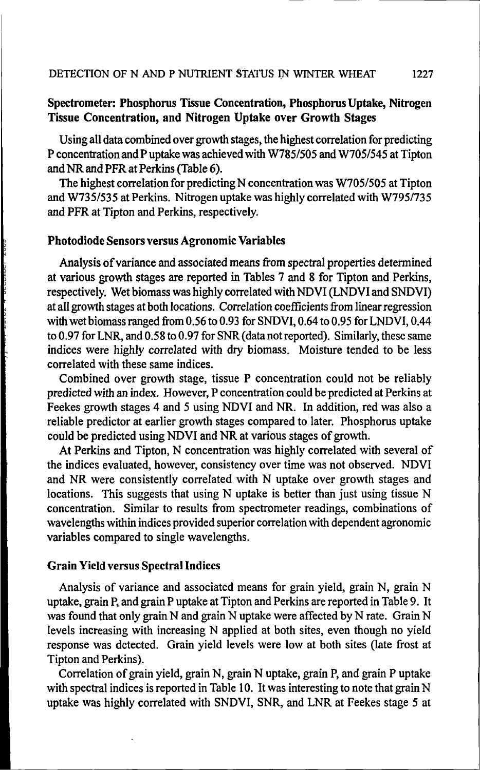# **Spectrometer: Phosphorus Tissue Concentration, Phosphorus Uptake, Nitrogen Tissue Concentration, and Nitrogen Uptake over Growth Stages**

Using all data combined over growth stages, the highest correlation for predicting P concentration and P uptake was achieved with W785/505 and W705/545 at Tipton and NR and PFR at Perkins (Table 6).

The highest correlation for predicting N concentration was W705/505 at Tipton and W735/535 at Perkins. Nitrogen uptake was highly correlated with W795/735 and PFR at Tipton and Perkins, respectively.

## **Photodiode Sensors versus Agronomic Variables**

Analysis of variance and associated means from spectral properties determined at various growth stages are reported in Tables 7 and 8 for Tipton and Perkins, respectively. Wet biomass was highly correlated with NDVI (LNDVI and SNDVI) at all growth stages at both locations. Correlation coefficients from linear regression with wet biomass ranged from 0.56 to 0.93 for SNDVI, 0.64 to 0.95 for LNDVI, 0.44 to 0.97 for LNR, and 0.58 to 0.97 for SNR (data not reported). Similarly, these same indices were highly correlated with dry biomass. Moisture tended to be less correlated with these same indices.

Combined over growth stage, tissue P concentration could not be reliably predicted with an index. However, P concentration could be predicted at Perkins at Feekes growth stages 4 and 5 using NDVI and NR. In addition, red was also a reliable predictor at earlier growth stages compared to later. Phosphorus uptake could be predicted using NDVI and NR at various stages of growth.

At Perkins and Tipton, N concentration was highly correlated with several of the indices evaluated, however, consistency over time was not observed. NDVI and NR were consistently correlated with N uptake over growth stages and locations. This suggests that using N uptake is better than just using tissue N concentration. Similar to results from spectrometer readings, combinations of wavelengths within indices provided superior correlation with dependent agronomic variables compared to single wavelengths.

## **Grain Yield** versus **Spectral** Indices

Analysis of variance and associated means for grain yield, grain N, grain N uptake, grain P, and grain P uptake at Tipton and Perkins are reported in Table 9. It was found that only grain N and grain N uptake were affected by N rate. Grain N levels increasing with increasing N applied at both sites, even though no yield response was detected. Grain yield levels were low at both sites (late frost at Tipton and Perkins).

Correlation of grain yield, grain N, grain N uptake, grain P, and grain P uptake with spectral indices is reported in Table 10. It was interesting to note that grain N uptake was highly correlated with SNDVI, SNR, and LNR at Feekes stage 5 at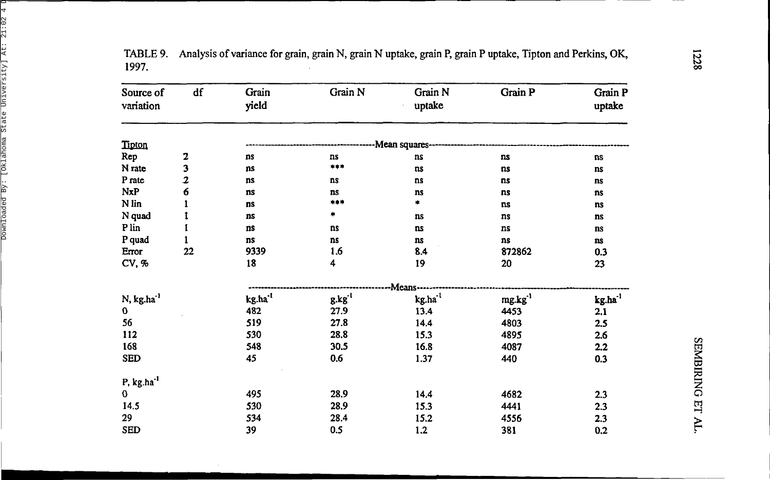| Source of              | df                      | Grain               | Grain N | Grain N        | Grain P             | Grain P      |  |
|------------------------|-------------------------|---------------------|---------|----------------|---------------------|--------------|--|
| variation              |                         | yield               |         | uptake         |                     | uptake       |  |
| Tipton                 |                         |                     |         | -Mean squares- |                     |              |  |
| Rep                    | 2                       | ns                  | ns      | ns             | ns                  | ns           |  |
| N rate                 | 3                       | ns                  | $***$   | ns             | ns                  | ns           |  |
| P rate                 | $\overline{\mathbf{2}}$ | ns                  | ns      | ns             | ns                  | ns           |  |
| NxP                    | 6                       | ns                  | ns      | ns             | ns                  | ns           |  |
| N lin                  |                         | ns                  | ***     | ₩.             | ns                  | ns           |  |
| N quad                 |                         | <b>ns</b>           | ۰       | ns             | ns                  | ns           |  |
| P lin                  |                         | ns                  | ns      | ns             | ns                  | ns           |  |
| P quad                 |                         | ns                  | ns      | ns             | ns                  | ns           |  |
| Error                  | 22                      | 9339                | 1.6     | 8.4            | 872862              | 0.3          |  |
| CV, %                  |                         | 18                  | 4       | 19             | 20                  | 23           |  |
|                        |                         |                     |         | Means-         |                     |              |  |
| N, kg.ha <sup>-1</sup> |                         | kg.ha <sup>-1</sup> | g.kg'   | $kg.ha^{-1}$   | mg.kg <sup>-1</sup> | $kg.ha^{-1}$ |  |
| 0                      |                         | 482                 | 27.9    | 13.4           | 4453                | 2.1          |  |
| 56                     |                         | 519                 | 27.8    | 14.4           | 4803                | 2.5          |  |
| 112                    |                         | 530                 | 28.8    | 15.3           | 4895                | 2.6          |  |
| 168                    |                         | 548                 | 30.5    | 16.8           | 4087                | 2.2          |  |
| <b>SED</b>             |                         | 45                  | 0.6     | 1.37           | 440                 | 0.3          |  |
| $P, kg.ha^{-1}$        |                         |                     |         |                |                     |              |  |
| $\mathbf 0$            |                         | 495                 | 28.9    | 14.4           | 4682                | 2.3          |  |
| 14.5                   |                         | 530                 | 28.9    | 15.3           | 4441                | 2.3          |  |
| 29                     |                         | 534                 | 28.4    | 15.2           | 4556                | 2.3          |  |
| <b>SED</b>             |                         | 39                  | 0.5     | 1.2            | 381                 | 0.2          |  |

TABLE 9. Analysis of variance for grain, grain N, grain N uptake, grain P, grain P uptake, Tipton and Perkins, OK, 1997 .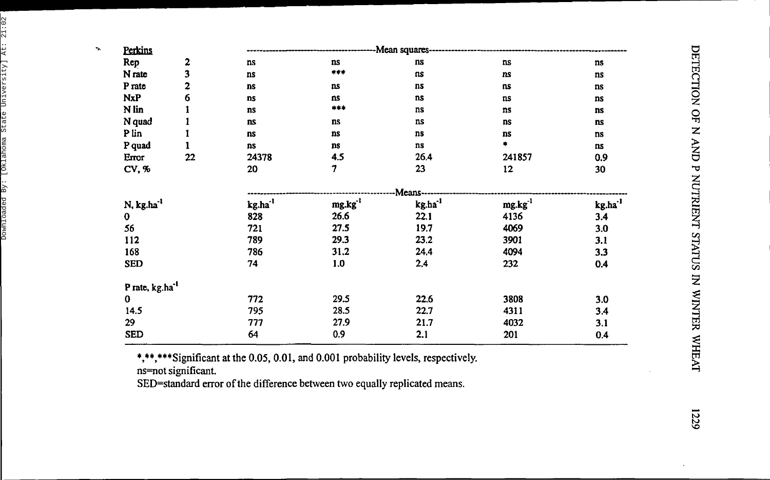| ۰,<br>Perkins          |                            | Mean squares----    |        |              |              |                        |  |  |
|------------------------|----------------------------|---------------------|--------|--------------|--------------|------------------------|--|--|
| Rep                    | 2                          | ns                  | ns     | ns           | ns           | ns                     |  |  |
| N rate                 | 3                          | ns                  | ***    | ns           | ns           | ns                     |  |  |
| P rate                 | 2                          | <b>ns</b>           | ns     | ns           | ns           | $\mathbf{n}\mathbf{s}$ |  |  |
| <b>NxP</b>             | 6                          | ns                  | ns     | ns           | ns           | ns                     |  |  |
| N lin                  |                            | ns                  | ***    | ns           | ns           | ns                     |  |  |
| N quad                 |                            | <b>ns</b>           | ns     | ns           | ns           | ns                     |  |  |
| P lin                  |                            | ns                  | ns     | ns           | ns           | ns                     |  |  |
| P quad                 | 1                          | ns                  | ns     | ns           | $\bullet$    | ns                     |  |  |
| Error                  | 22                         | 24378               | 4.5    | 26.4         | 241857       | 0.9                    |  |  |
| CV, %                  |                            | 20                  | 7      | 23           | 12           | 30                     |  |  |
|                        |                            |                     |        | Means---     |              |                        |  |  |
| N, kg.ha <sup>-1</sup> |                            | kg.ha <sup>-1</sup> | mg.kg' | $kg.ha^{-1}$ | $mg.kg^{-1}$ | kg.ha <sup>-1</sup>    |  |  |
| $\mathbf 0$            |                            | 828                 | 26.6   | 22.1         | 4136         | 3.4                    |  |  |
| 56                     |                            | 721                 | 27.5   | 19.7         | 4069         | 3.0                    |  |  |
| 112                    |                            | 789                 | 29.3   | 23.2         | 3901         | 3.1                    |  |  |
| 168                    |                            | 786                 | 31.2   | 24.4         | 4094         | 3.3                    |  |  |
| <b>SED</b>             |                            | 74                  | 1.0    | 2.4          | 232          | 0.4                    |  |  |
|                        | Prate, kg.ha <sup>-1</sup> |                     |        |              |              |                        |  |  |
| $\bf{0}$               |                            | 772                 | 29.5   | 22.6         | 3808         | 3.0                    |  |  |
| 14.5                   |                            | 795                 | 28.5   | 22.7         | 4311         | 3.4                    |  |  |
| 29                     |                            | 777                 | 27.9   | 21.7         | 4032         | 3.1                    |  |  |
| <b>SED</b>             |                            | 64                  | 0.9    | 2.1          | 201          | 0.4                    |  |  |

\*,\*\*,\*\*\*Significant at the 0.05, 0.01, and 0.001 probability levels, respectively.

ns=not significant.

SED=standard error of the difference between two equally replicated means.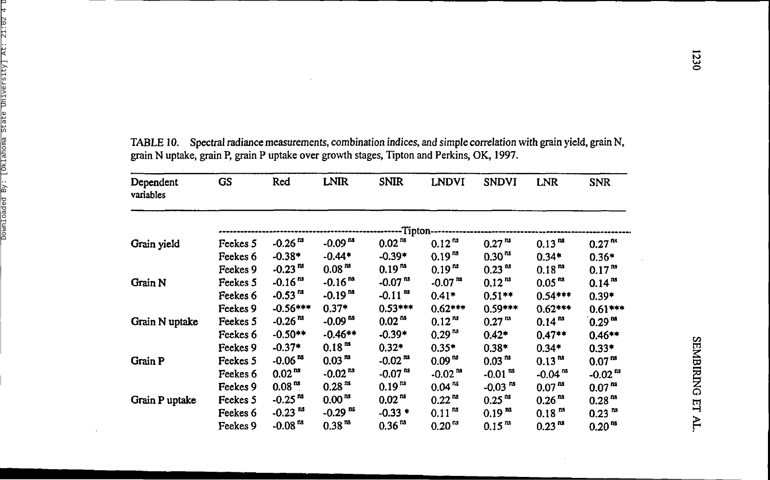| Dependent<br>variables | GS       | Red                   | <b>LNIR</b>           | <b>SNIR</b>           | <b>LNDVI</b>       | <b>SNDVI</b>          | <b>LNR</b>           | <b>SNR</b>            |
|------------------------|----------|-----------------------|-----------------------|-----------------------|--------------------|-----------------------|----------------------|-----------------------|
|                        |          |                       |                       | -Tipton--             |                    |                       |                      |                       |
| Grain yield            | Feekes 5 | $-0.26ns$             | $-0.09$ <sup>ns</sup> | 0.02 <sup>ns</sup>    | $0.12^{ns}$        | 0.27 <sup>ns</sup>    | 0.13 <sup>ns</sup>   | 0.27 <sup>ns</sup>    |
|                        | Feekes 6 | $-0.38*$              | $-0.44*$              | $-0.39*$              | 0.19 <sup>ns</sup> | 0.30 <sup>ns</sup>    | $0.34*$              | $0.36*$               |
|                        | Feekes 9 | $-0.23ns$             | 0.08 <sup>ns</sup>    | $0.19^{n}$            | 0.19 <sup>ns</sup> | 0.23 <sup>ns</sup>    | 0.18 <sup>ns</sup>   | 0.17 <sup>ns</sup>    |
| Grain N                | Feekes 5 | $-0.16^{ns}$          | $-0.16^{ns}$          | $-0.07ns$             | $-0.07ns$          | 0.12 <sup>ns</sup>    | 0.05 <sup>ns</sup>   | $0.14^{n s}$          |
|                        | Feekes 6 | $-0.53^{18}$          | $-0.19^{m}$           | $-0.11$ <sup>ms</sup> | $0.41*$            | $0.51***$             | $0.54***$            | $0.39*$               |
|                        | Feekes 9 | $-0.56***$            | $0.37*$               | $0.53***$             | $0.62***$          | $0.59***$             | $0.62***$            | $0.61***$             |
| Grain N uptake         | Feekes 5 | $-0.26ns$             | $-0.09ns$             | 0.02 <sup>ns</sup>    | $0.12^{ns}$        | 0.27 <sup>ns</sup>    | $0.14^{m}$           | 0.29 <sup>nd</sup>    |
|                        | Feekes 6 | $-0.50**$             | $-0.46**$             | $-0.39*$              | 0.29 <sup>ns</sup> | $0.42*$               | $0.47**$             | $0.46**$              |
|                        | Feekes 9 | $-0.37*$              | 0.18 <sup>ns</sup>    | $0.32*$               | $0.35*$            | $0.38*$               | $0.34*$              | $0.33*$               |
| <b>Grain P</b>         | Feekes 5 | $-0.06ns$             | 0.03 <sup>ns</sup>    | $-0.02^{n s}$         | 0.09 <sup>ns</sup> | 0.03 <sup>ns</sup>    | $0.13^{m}$           | 0.07 <sup>ns</sup>    |
|                        | Feekes 6 | $0.02^{ns}$           | $-0.02$ <sup>ns</sup> | $-0.07ns$             | $-0.02ns$          | $-0.01$ <sup>ns</sup> | $-0.04^{ns}$         | $-0.02$ <sup>ns</sup> |
|                        | Feekes 9 | 0.08 <sup>ns</sup>    | 0.28 <sup>ns</sup>    | $0.19^{3}$            | 0.04 <sup>ns</sup> | $-0.03$ <sup>ns</sup> | 0.07 <sup>ns</sup>   | 0.07 <sup>ns</sup>    |
| Grain P uptake         | Feekes 5 | $-0.25ns$             | 0.00 <sup>ns</sup>    | 0.02 <sup>ns</sup>    | $0.22^{ns}$        | 0.25 <sup>ns</sup>    | 0.26 <sup>ns</sup>   | 0.28 <sup>ns</sup>    |
|                        | Feekes 6 | $-0.23$ <sup>ns</sup> | $-0.29$ <sup>ns</sup> | $-0.33*$              | 0.11 <sup>ns</sup> | 0.19 <sup>ns</sup>    | $0.18$ <sup>ns</sup> | 0.23 <sup>ns</sup>    |
|                        | Feekes 9 | $-0.08ns$             | 0.38 <sup>ns</sup>    | 0.36 <sup>ns</sup>    | $0.20^{13}$        | 0.15 <sup>ns</sup>    | $0.23^{ns}$          | 0.20 <sup>ns</sup>    |

TABLE 10. Spectral radiance measurements, combination indices, and simple correlation with grain yield, grain N, **grain N uptake , grain P, grain P uptake ove r growth stages , Tipto n and Perkins , OK, 1997 .**

 $\sim$ 

 $\cdot$ 

 $\sim$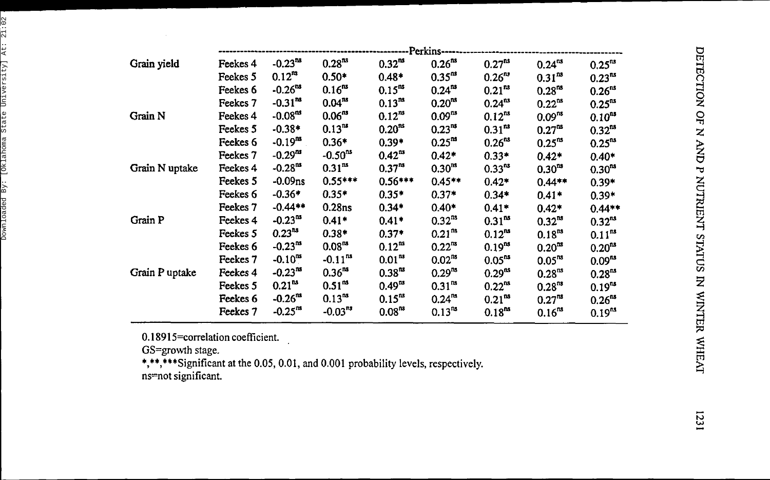|                |          |              |                    |                    | -------Perkins----- |                    |                    |                    |
|----------------|----------|--------------|--------------------|--------------------|---------------------|--------------------|--------------------|--------------------|
| Grain yield    | Feekes 4 | $-0.23^{ns}$ | $0.28^{ns}$        | $0.32^{ns}$        | 0.26 <sup>ns</sup>  | $0.27^{ns}$        | $0.24^{ns}$        | $0.25^{ns}$        |
|                | Feekes 5 | $0.12^{ns}$  | $0.50*$            | $0.48*$            | $0.35^{ns}$         | $0.26^{n s}$       | $0.31^{ns}$        | $0.23^{ns}$        |
|                | Feekes 6 | $-0.26^{ns}$ | $0.16^{ns}$        | $0.15^{ns}$        | $0.24^{ns}$         | 0.21 <sup>ns</sup> | $0.28^{ns}$        | 0.26 <sup>ns</sup> |
|                | Feekes 7 | $-0.31^{ns}$ | $0.04^{ns}$        | $0.13^{ns}$        | $0.20^{n s}$        | $0.24^{ns}$        | $0.22^{ns}$        | $0.25^{ns}$        |
| Grain N        | Feekes 4 | $-0.08ns$    | $0.06^{ns}$        | $0.12^{ns}$        | $0.09^{ns}$         | $0.12^{ns}$        | 0.09 <sup>ns</sup> | $0.10^{n}$         |
|                | Feekes 5 | $-0.38*$     | $0.13^{ns}$        | 0.20 <sup>ns</sup> | $0.23^{ns}$         | $0.31^{ns}$        | 0.27 <sup>ns</sup> | $0.32^{ns}$        |
|                | Feekes 6 | $-0.19^{ns}$ | $0.36*$            | $0.39*$            | $0.25^{ns}$         | 0.26 <sup>ns</sup> | $0.25^{ns}$        | $0.25^{n}$         |
|                | Feekes 7 | $-0.29^{ns}$ | $-0.50^{ns}$       | $0.42^{ns}$        | $0.42*$             | $0.33*$            | $0.42*$            | $0.40*$            |
| Grain N uptake | Feekes 4 | $-0.28ns$    | $0.31^{ns}$        | $0.37^{n}$         | $0.30^{ns}$         | $0.33^{ns}$        | $0.30^{ns}$        | $0.30^{m}$         |
|                | Feekes 5 | $-0.09$ ns   | $0.55***$          | $0.56***$          | $0.45**$            | $0.42*$            | $0.44**$           | $0.39*$            |
|                | Feekes 6 | $-0.36*$     | $0.35*$            | $0.35*$            | $0.37*$             | $0.34*$            | $0.41*$            | $0.39*$            |
|                | Feekes 7 | $-0.44**$    | 0.28 <sub>ns</sub> | $0.34*$            | $0.40*$             | $0.41*$            | $0.42*$            | $0.44**$           |
| Grain P        | Feekes 4 | $-0.23^{ns}$ | $0.41*$            | $0.41*$            | $0.32^{ns}$         | $0.31^{ns}$        | $0.32^{ns}$        | $0.32^{ns}$        |
|                | Feekes 5 | $0.23^{ns}$  | $0.38*$            | $0.37*$            | $0.21^{ns}$         | $0.12^{ns}$        | $0.18^{ns}$        | $0.11^{ns}$        |
|                | Feekes 6 | $-0.23^{ns}$ | 0.08 <sup>ns</sup> | $0.12^{ns}$        | $0.22^{ns}$         | $0.19^{ns}$        | $0.20^{ns}$        | $0.20^{ns}$        |
|                | Feekes 7 | $-0.10^{ns}$ | $-0.11^{ns}$       | $0.01^{ns}$        | $0.02^{ns}$         | $0.05^{ns}$        | $0.05^{ns}$        | $0.09^{ns}$        |
| Grain P uptake | Feekes 4 | $-0.23^{ns}$ | $0.36^{ns}$        | $0.38^{ns}$        | $0.29^{ns}$         | $0.29^{ns}$        | 0.28 <sup>ns</sup> | 0.28 <sup>ns</sup> |
|                | Feekes 5 | $0.21^{ns}$  | $0.51^{ns}$        | $0.49^{ns}$        | $0.31^{ns}$         | 0.22 <sup>ns</sup> | $0.28^{ns}$        | $0.19^{ns}$        |
|                | Feekes 6 | $-0.26^{ns}$ | 0.13 <sup>ns</sup> | $0.15^{ns}$        | $0.24^{ns}$         | 0.21 <sup>ns</sup> | $0.27^{ns}$        | $0.26^{ns}$        |
|                | Feekes 7 | $-0.25^{ns}$ | $-0.03^{ns}$       | 0.08 <sup>ns</sup> | $0.13^{ns}$         | $0.18^{ns}$        | $0.16^{ns}$        | $0.19^{ns}$        |
|                |          |              |                    |                    |                     |                    |                    |                    |

0.18915=correlatio n coefficient .

GS=growt h stage .

\*,\*\*,\*\*\*Significant at the 0.05, 0.01, and 0.001 probability levels, respectively. ns=no t significant .

1231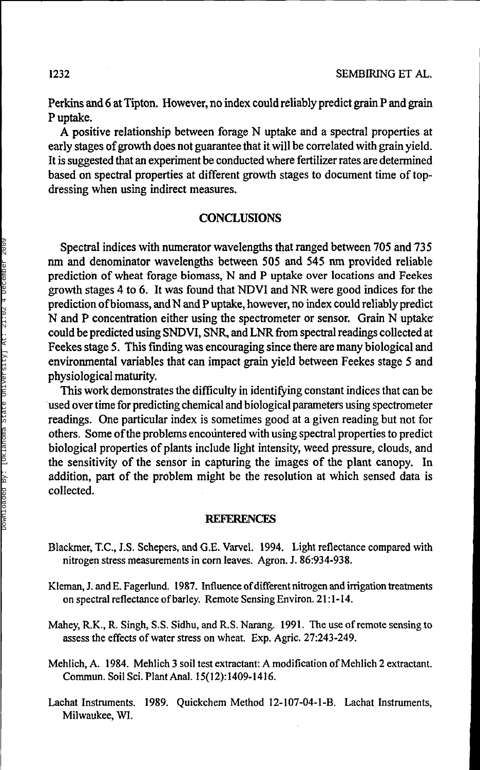Perkins and 6 at Tipton. However, no index could reliably predict grain P and grain P uptake.

A positive relationship between forage N uptake and a spectral properties at early stages of growth does not guarantee that it will be correlated with grain yield. It is suggested that an experiment be conducted where fertilizer rates are determined based on spectral properties at different growth stages to document time of topdressing when using indirect measures.

## **CONCLUSIONS**

Spectral indices with numerator wavelengths that ranged between 705 and 735 nm and denominator wavelengths between 505 and 545 nm provided reliable prediction of wheat forage biomass, N and P uptake over locations and Feekes growth stages 4 to 6. It was found that NDVI and NR were good indices for the prediction of biomass, and N and P uptake, however, no index could reliably predict N and P concentration either using the spectrometer or sensor. Grain N uptake" could be predicted using SNDVI, SNR, and LNR from spectral readings collected at Feekes stage 5. This finding was encouraging since there are many biological and environmental variables that can impact grain yield between Feekes stage 5 and physiological maturity.

This work demonstrates the difficulty in identifying constant indices that can be used over time for predicting chemical and biological parameters using spectrometer readings. One particular index is sometimes good at a given reading but not for others. Some of the problems encountered with using spectral properties to predict biological properties of plants include light intensity, weed pressure, clouds, and the sensitivity of the sensor in capturing the images of the plant canopy. In addition, part of the problem might be the resolution at which sensed data is collected.

#### **REFERENCES**

- Blackmer, T.C., J.S. Schepers, and G.E. Varvel. 1994. Light reflectance compared with nitrogen stress measurements in corn leaves. Agron. J. 86:934-938.
- Kleman, J. and E. Fagerlund. 1987. Influence of different nitrogen and irrigation treatments on spectral reflectance of barley. Remote Sensing Environ. 21:1-14.
- Mahey, R.K., R. Singh, S.S. Sidhu, and R.S. Narang. 1991. The use of remote sensing to assess the effects of water stress on wheat. Exp. Agric. 27:243-249.
- Mehlich, A. 1984. Mehlich 3 soil test extractant: A modification of Mehlich 2 extractant. Commun. Soil Sci. Plant Anal. 15(12):1409-1416.
- Lachat Instruments. 1989. Quickchem Method 12-107-04-1-B. Lachat Instruments, Milwaukee, WI.